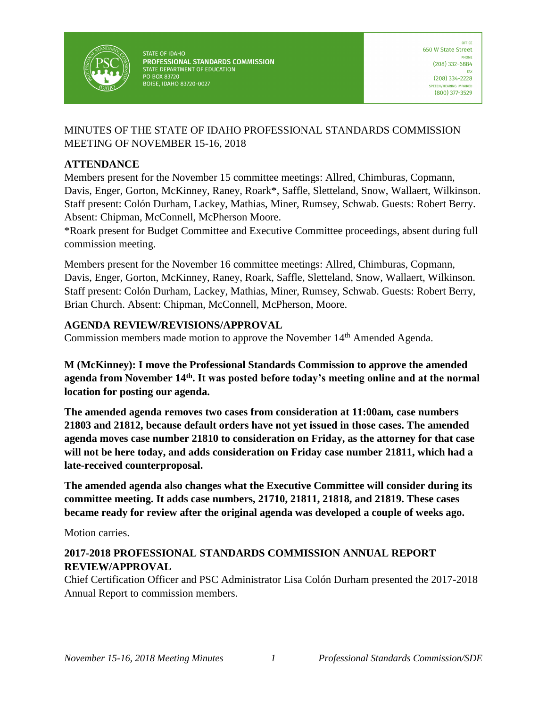

**STATE OF IDAHO** PROFESSIONAL STANDARDS COMMISSION STATE DEPARTMENT OF EDUCATION PO BOX 83720 **BOISE, IDAHO 83720-0027** 

### MINUTES OF THE STATE OF IDAHO PROFESSIONAL STANDARDS COMMISSION MEETING OF NOVEMBER 15-16, 2018

### **ATTENDANCE**

Members present for the November 15 committee meetings: Allred, Chimburas, Copmann, Davis, Enger, Gorton, McKinney, Raney, Roark\*, Saffle, Sletteland, Snow, Wallaert, Wilkinson. Staff present: Colón Durham, Lackey, Mathias, Miner, Rumsey, Schwab. Guests: Robert Berry. Absent: Chipman, McConnell, McPherson Moore.

\*Roark present for Budget Committee and Executive Committee proceedings, absent during full commission meeting.

Members present for the November 16 committee meetings: Allred, Chimburas, Copmann, Davis, Enger, Gorton, McKinney, Raney, Roark, Saffle, Sletteland, Snow, Wallaert, Wilkinson. Staff present: Colón Durham, Lackey, Mathias, Miner, Rumsey, Schwab. Guests: Robert Berry, Brian Church. Absent: Chipman, McConnell, McPherson, Moore.

### **AGENDA REVIEW/REVISIONS/APPROVAL**

Commission members made motion to approve the November 14<sup>th</sup> Amended Agenda.

**M (McKinney): I move the Professional Standards Commission to approve the amended agenda from November 14th. It was posted before today's meeting online and at the normal location for posting our agenda.** 

**The amended agenda removes two cases from consideration at 11:00am, case numbers 21803 and 21812, because default orders have not yet issued in those cases. The amended agenda moves case number 21810 to consideration on Friday, as the attorney for that case will not be here today, and adds consideration on Friday case number 21811, which had a late-received counterproposal.** 

**The amended agenda also changes what the Executive Committee will consider during its committee meeting. It adds case numbers, 21710, 21811, 21818, and 21819. These cases became ready for review after the original agenda was developed a couple of weeks ago.** 

Motion carries.

# **2017-2018 PROFESSIONAL STANDARDS COMMISSION ANNUAL REPORT REVIEW/APPROVAL**

Chief Certification Officer and PSC Administrator Lisa Colón Durham presented the 2017-2018 Annual Report to commission members.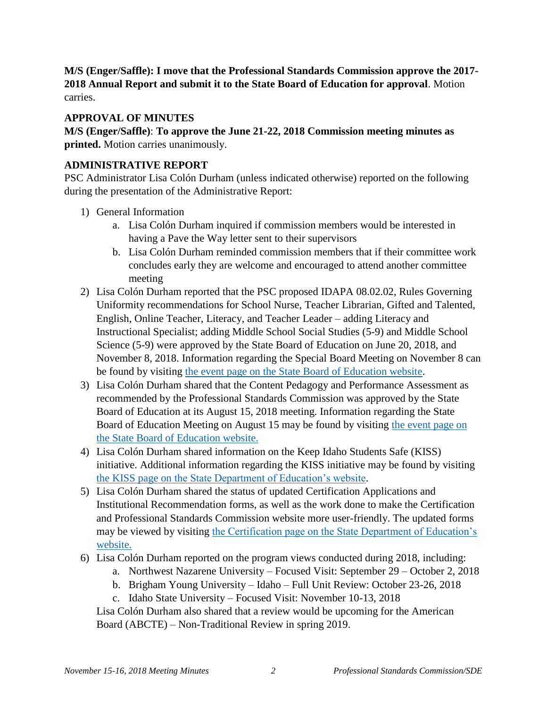**M/S (Enger/Saffle): I move that the Professional Standards Commission approve the 2017- 2018 Annual Report and submit it to the State Board of Education for approval**. Motion carries.

### **APPROVAL OF MINUTES**

**M/S (Enger/Saffle)**: **To approve the June 21-22, 2018 Commission meeting minutes as printed.** Motion carries unanimously.

### **ADMINISTRATIVE REPORT**

PSC Administrator Lisa Colón Durham (unless indicated otherwise) reported on the following during the presentation of the Administrative Report:

- 1) General Information
	- a. Lisa Colón Durham inquired if commission members would be interested in having a Pave the Way letter sent to their supervisors
	- b. Lisa Colón Durham reminded commission members that if their committee work concludes early they are welcome and encouraged to attend another committee meeting
- 2) Lisa Colón Durham reported that the PSC proposed IDAPA 08.02.02, Rules Governing Uniformity recommendations for School Nurse, Teacher Librarian, Gifted and Talented, English, Online Teacher, Literacy, and Teacher Leader – adding Literacy and Instructional Specialist; adding Middle School Social Studies (5-9) and Middle School Science (5-9) were approved by the State Board of Education on June 20, 2018, and November 8, 2018. Information regarding the Special Board Meeting on November 8 can be found by visiting [the event page on the State Board of Education website.](http://www.sde.idaho.gov/cert-psc/cert/apply/out-of-state.html)
- 3) Lisa Colón Durham shared that the Content Pedagogy and Performance Assessment as recommended by the Professional Standards Commission was approved by the State Board of Education at its August 15, 2018 meeting. Information regarding the State Board of Education Meeting on August 15 may be found by visiting the event page on [the State Board of Education website.](https://boardofed.idaho.gov/event/board-meeting-isu-4/)
- 4) Lisa Colón Durham shared information on the Keep Idaho Students Safe (KISS) initiative. Additional information regarding the KISS initiative may be found by visiting [the KISS page on the State Department of Education's website.](https://www.sde.idaho.gov/kiss/)
- 5) Lisa Colón Durham shared the status of updated Certification Applications and Institutional Recommendation forms, as well as the work done to make the Certification and Professional Standards Commission website more user-friendly. The updated forms may be viewed by visiting [the Certification page on the State Department of Education's](https://www.sde.idaho.gov/cert-psc/cert/)  [website.](https://www.sde.idaho.gov/cert-psc/cert/)
- 6) Lisa Colón Durham reported on the program views conducted during 2018, including:
	- a. Northwest Nazarene University Focused Visit: September 29 October 2, 2018
	- b. Brigham Young University Idaho Full Unit Review: October 23-26, 2018
	- c. Idaho State University Focused Visit: November 10-13, 2018

Lisa Colón Durham also shared that a review would be upcoming for the American Board (ABCTE) – Non-Traditional Review in spring 2019.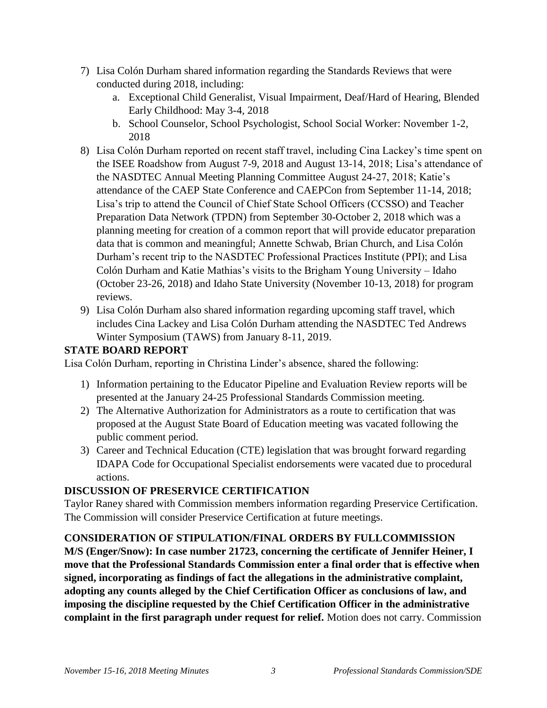- 7) Lisa Colón Durham shared information regarding the Standards Reviews that were conducted during 2018, including:
	- a. Exceptional Child Generalist, Visual Impairment, Deaf/Hard of Hearing, Blended Early Childhood: May 3-4, 2018
	- b. School Counselor, School Psychologist, School Social Worker: November 1-2, 2018
- 8) Lisa Colón Durham reported on recent staff travel, including Cina Lackey's time spent on the ISEE Roadshow from August 7-9, 2018 and August 13-14, 2018; Lisa's attendance of the NASDTEC Annual Meeting Planning Committee August 24-27, 2018; Katie's attendance of the CAEP State Conference and CAEPCon from September 11-14, 2018; Lisa's trip to attend the Council of Chief State School Officers (CCSSO) and Teacher Preparation Data Network (TPDN) from September 30-October 2, 2018 which was a planning meeting for creation of a common report that will provide educator preparation data that is common and meaningful; Annette Schwab, Brian Church, and Lisa Colón Durham's recent trip to the NASDTEC Professional Practices Institute (PPI); and Lisa Colón Durham and Katie Mathias's visits to the Brigham Young University – Idaho (October 23-26, 2018) and Idaho State University (November 10-13, 2018) for program reviews.
- 9) Lisa Colón Durham also shared information regarding upcoming staff travel, which includes Cina Lackey and Lisa Colón Durham attending the NASDTEC Ted Andrews Winter Symposium (TAWS) from January 8-11, 2019.

### **STATE BOARD REPORT**

Lisa Colón Durham, reporting in Christina Linder's absence, shared the following:

- 1) Information pertaining to the Educator Pipeline and Evaluation Review reports will be presented at the January 24-25 Professional Standards Commission meeting.
- 2) The Alternative Authorization for Administrators as a route to certification that was proposed at the August State Board of Education meeting was vacated following the public comment period.
- 3) Career and Technical Education (CTE) legislation that was brought forward regarding IDAPA Code for Occupational Specialist endorsements were vacated due to procedural actions.

# **DISCUSSION OF PRESERVICE CERTIFICATION**

Taylor Raney shared with Commission members information regarding Preservice Certification. The Commission will consider Preservice Certification at future meetings.

# **CONSIDERATION OF STIPULATION/FINAL ORDERS BY FULLCOMMISSION**

**M/S (Enger/Snow): In case number 21723, concerning the certificate of Jennifer Heiner, I move that the Professional Standards Commission enter a final order that is effective when signed, incorporating as findings of fact the allegations in the administrative complaint, adopting any counts alleged by the Chief Certification Officer as conclusions of law, and imposing the discipline requested by the Chief Certification Officer in the administrative complaint in the first paragraph under request for relief.** Motion does not carry. Commission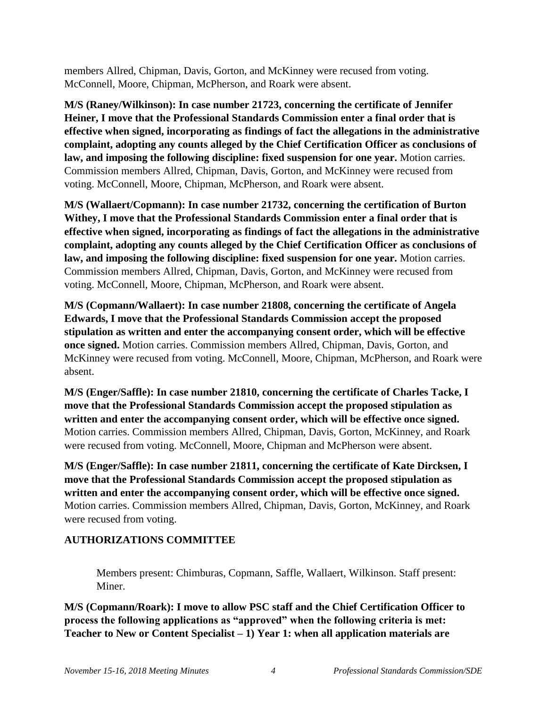members Allred, Chipman, Davis, Gorton, and McKinney were recused from voting. McConnell, Moore, Chipman, McPherson, and Roark were absent.

**M/S (Raney/Wilkinson): In case number 21723, concerning the certificate of Jennifer Heiner, I move that the Professional Standards Commission enter a final order that is effective when signed, incorporating as findings of fact the allegations in the administrative complaint, adopting any counts alleged by the Chief Certification Officer as conclusions of law, and imposing the following discipline: fixed suspension for one year.** Motion carries. Commission members Allred, Chipman, Davis, Gorton, and McKinney were recused from voting. McConnell, Moore, Chipman, McPherson, and Roark were absent.

**M/S (Wallaert/Copmann): In case number 21732, concerning the certification of Burton Withey, I move that the Professional Standards Commission enter a final order that is effective when signed, incorporating as findings of fact the allegations in the administrative complaint, adopting any counts alleged by the Chief Certification Officer as conclusions of law, and imposing the following discipline: fixed suspension for one year.** Motion carries. Commission members Allred, Chipman, Davis, Gorton, and McKinney were recused from voting. McConnell, Moore, Chipman, McPherson, and Roark were absent.

**M/S (Copmann/Wallaert): In case number 21808, concerning the certificate of Angela Edwards, I move that the Professional Standards Commission accept the proposed stipulation as written and enter the accompanying consent order, which will be effective once signed.** Motion carries. Commission members Allred, Chipman, Davis, Gorton, and McKinney were recused from voting. McConnell, Moore, Chipman, McPherson, and Roark were absent.

**M/S (Enger/Saffle): In case number 21810, concerning the certificate of Charles Tacke, I move that the Professional Standards Commission accept the proposed stipulation as written and enter the accompanying consent order, which will be effective once signed.**  Motion carries. Commission members Allred, Chipman, Davis, Gorton, McKinney, and Roark were recused from voting. McConnell, Moore, Chipman and McPherson were absent.

**M/S (Enger/Saffle): In case number 21811, concerning the certificate of Kate Dircksen, I move that the Professional Standards Commission accept the proposed stipulation as written and enter the accompanying consent order, which will be effective once signed.**  Motion carries. Commission members Allred, Chipman, Davis, Gorton, McKinney, and Roark were recused from voting.

# **AUTHORIZATIONS COMMITTEE**

Members present: Chimburas, Copmann, Saffle, Wallaert, Wilkinson. Staff present: Miner.

**M/S (Copmann/Roark): I move to allow PSC staff and the Chief Certification Officer to process the following applications as "approved" when the following criteria is met: Teacher to New or Content Specialist – 1) Year 1: when all application materials are**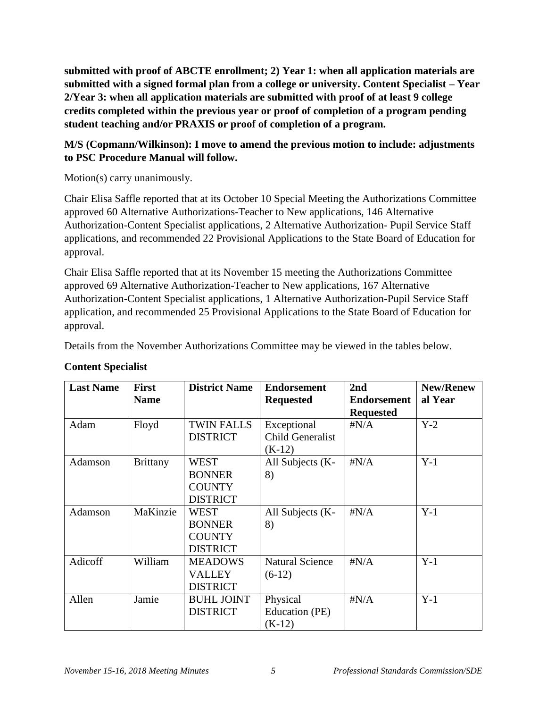**submitted with proof of ABCTE enrollment; 2) Year 1: when all application materials are submitted with a signed formal plan from a college or university. Content Specialist – Year 2/Year 3: when all application materials are submitted with proof of at least 9 college credits completed within the previous year or proof of completion of a program pending student teaching and/or PRAXIS or proof of completion of a program.** 

# **M/S (Copmann/Wilkinson): I move to amend the previous motion to include: adjustments to PSC Procedure Manual will follow.**

Motion(s) carry unanimously.

Chair Elisa Saffle reported that at its October 10 Special Meeting the Authorizations Committee approved 60 Alternative Authorizations-Teacher to New applications, 146 Alternative Authorization-Content Specialist applications, 2 Alternative Authorization- Pupil Service Staff applications, and recommended 22 Provisional Applications to the State Board of Education for approval.

Chair Elisa Saffle reported that at its November 15 meeting the Authorizations Committee approved 69 Alternative Authorization-Teacher to New applications, 167 Alternative Authorization-Content Specialist applications, 1 Alternative Authorization-Pupil Service Staff application, and recommended 25 Provisional Applications to the State Board of Education for approval.

Details from the November Authorizations Committee may be viewed in the tables below.

| <b>Last Name</b> | <b>First</b>    | <b>District Name</b> | <b>Endorsement</b>     | 2nd                | <b>New/Renew</b> |
|------------------|-----------------|----------------------|------------------------|--------------------|------------------|
|                  | <b>Name</b>     |                      | <b>Requested</b>       | <b>Endorsement</b> | al Year          |
|                  |                 |                      |                        | <b>Requested</b>   |                  |
| Adam             | Floyd           | <b>TWIN FALLS</b>    | Exceptional            | $\sharp N/A$       | $Y-2$            |
|                  |                 | <b>DISTRICT</b>      | Child Generalist       |                    |                  |
|                  |                 |                      | $(K-12)$               |                    |                  |
| Adamson          | <b>Brittany</b> | <b>WEST</b>          | All Subjects (K-       | $\sharp N/A$       | $Y-1$            |
|                  |                 | <b>BONNER</b>        | 8)                     |                    |                  |
|                  |                 | <b>COUNTY</b>        |                        |                    |                  |
|                  |                 | <b>DISTRICT</b>      |                        |                    |                  |
| Adamson          | MaKinzie        | <b>WEST</b>          | All Subjects (K-       | $\sharp N/A$       | $Y-1$            |
|                  |                 | <b>BONNER</b>        | 8)                     |                    |                  |
|                  |                 | <b>COUNTY</b>        |                        |                    |                  |
|                  |                 | <b>DISTRICT</b>      |                        |                    |                  |
| Adicoff          | William         | <b>MEADOWS</b>       | <b>Natural Science</b> | $\sharp N/A$       | $Y-1$            |
|                  |                 | <b>VALLEY</b>        | $(6-12)$               |                    |                  |
|                  |                 | <b>DISTRICT</b>      |                        |                    |                  |
| Allen            | Jamie           | <b>BUHL JOINT</b>    | Physical               | $\sharp N/A$       | $Y-1$            |
|                  |                 | <b>DISTRICT</b>      | Education (PE)         |                    |                  |
|                  |                 |                      | $(K-12)$               |                    |                  |

# **Content Specialist**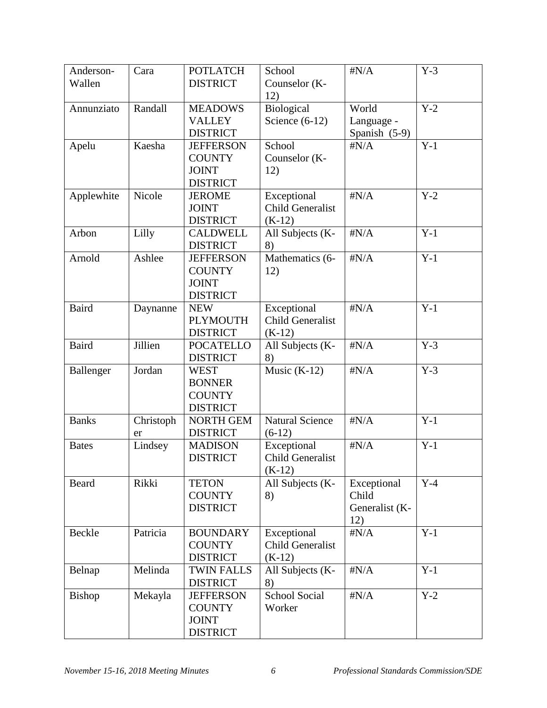| Anderson-     | Cara      | <b>POTLATCH</b>   | School                  | $\sharp N/A$   | $Y-3$ |
|---------------|-----------|-------------------|-------------------------|----------------|-------|
| Wallen        |           | <b>DISTRICT</b>   | Counselor (K-           |                |       |
|               |           |                   | 12)                     |                |       |
| Annunziato    | Randall   | <b>MEADOWS</b>    | Biological              | World          | $Y-2$ |
|               |           | <b>VALLEY</b>     | Science $(6-12)$        | Language -     |       |
|               |           | <b>DISTRICT</b>   |                         | Spanish (5-9)  |       |
| Apelu         | Kaesha    | <b>JEFFERSON</b>  | School                  | $\sharp N/A$   | $Y-1$ |
|               |           | <b>COUNTY</b>     | Counselor (K-           |                |       |
|               |           | <b>JOINT</b>      | 12)                     |                |       |
|               |           | <b>DISTRICT</b>   |                         |                |       |
| Applewhite    | Nicole    | <b>JEROME</b>     | Exceptional             | $\sharp N/A$   | $Y-2$ |
|               |           | <b>JOINT</b>      | <b>Child Generalist</b> |                |       |
|               |           | <b>DISTRICT</b>   | $(K-12)$                |                |       |
| Arbon         | Lilly     | <b>CALDWELL</b>   | All Subjects (K-        | $\sharp N/A$   | $Y-1$ |
|               |           | <b>DISTRICT</b>   | 8)                      |                |       |
| Arnold        | Ashlee    | <b>JEFFERSON</b>  | Mathematics (6-         | $\sharp N/A$   | $Y-1$ |
|               |           | <b>COUNTY</b>     | 12)                     |                |       |
|               |           | <b>JOINT</b>      |                         |                |       |
|               |           | <b>DISTRICT</b>   |                         |                |       |
| <b>Baird</b>  | Daynanne  | <b>NEW</b>        | Exceptional             | $\sharp N/A$   | $Y-1$ |
|               |           | <b>PLYMOUTH</b>   | <b>Child Generalist</b> |                |       |
|               |           | <b>DISTRICT</b>   | $(K-12)$                |                |       |
| <b>Baird</b>  | Jillien   | <b>POCATELLO</b>  | All Subjects (K-        | $\sharp N/A$   | $Y-3$ |
|               |           | <b>DISTRICT</b>   | 8)                      |                |       |
| Ballenger     | Jordan    | <b>WEST</b>       | Music $(K-12)$          | $\sharp N/A$   | $Y-3$ |
|               |           | <b>BONNER</b>     |                         |                |       |
|               |           | <b>COUNTY</b>     |                         |                |       |
|               |           | <b>DISTRICT</b>   |                         |                |       |
| <b>Banks</b>  | Christoph | <b>NORTH GEM</b>  | <b>Natural Science</b>  | $\sharp N/A$   | $Y-1$ |
|               | er        | <b>DISTRICT</b>   | $(6-12)$                |                |       |
| <b>Bates</b>  | Lindsey   | <b>MADISON</b>    | Exceptional             | $\sharp N/A$   | $Y-1$ |
|               |           | <b>DISTRICT</b>   | <b>Child Generalist</b> |                |       |
|               |           |                   | $(K-12)$                |                |       |
| Beard         | Rikki     | <b>TETON</b>      | All Subjects (K-        | Exceptional    | $Y-4$ |
|               |           | <b>COUNTY</b>     | 8)                      | Child          |       |
|               |           | <b>DISTRICT</b>   |                         | Generalist (K- |       |
|               |           |                   |                         | 12)            |       |
| Beckle        | Patricia  | <b>BOUNDARY</b>   | Exceptional             | $\sharp N/A$   | $Y-1$ |
|               |           | <b>COUNTY</b>     | <b>Child Generalist</b> |                |       |
|               |           | <b>DISTRICT</b>   | $(K-12)$                |                |       |
| Belnap        | Melinda   | <b>TWIN FALLS</b> | All Subjects (K-        | $\sharp N/A$   | $Y-1$ |
|               |           | <b>DISTRICT</b>   | 8)                      |                |       |
| <b>Bishop</b> | Mekayla   | <b>JEFFERSON</b>  | <b>School Social</b>    | $\sharp N/A$   | $Y-2$ |
|               |           | <b>COUNTY</b>     | Worker                  |                |       |
|               |           | <b>JOINT</b>      |                         |                |       |
|               |           | <b>DISTRICT</b>   |                         |                |       |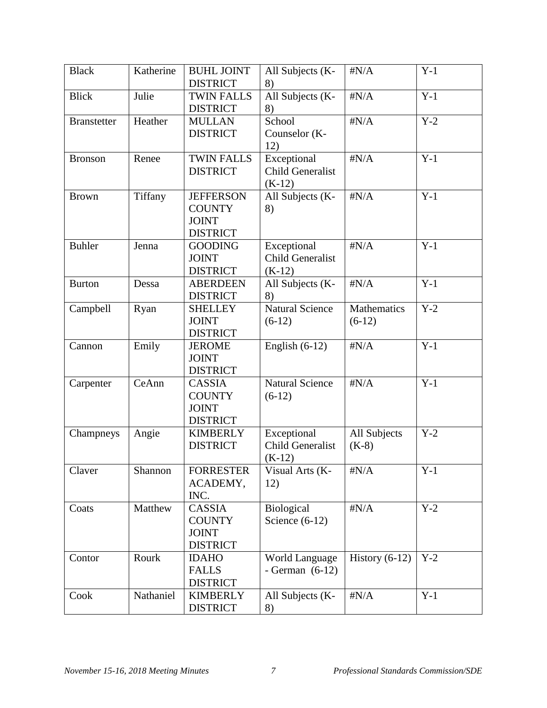| <b>Black</b>       | Katherine | <b>BUHL JOINT</b> | All Subjects (K-        | $\sharp N/A$       | $Y-1$ |
|--------------------|-----------|-------------------|-------------------------|--------------------|-------|
|                    |           | <b>DISTRICT</b>   | 8)                      |                    |       |
| <b>Blick</b>       | Julie     | <b>TWIN FALLS</b> | All Subjects (K-        | $\sharp N/A$       | $Y-1$ |
|                    |           | <b>DISTRICT</b>   | 8)                      |                    |       |
| <b>Branstetter</b> | Heather   | <b>MULLAN</b>     | School                  | $\sharp N/A$       | $Y-2$ |
|                    |           | <b>DISTRICT</b>   | Counselor (K-           |                    |       |
|                    |           |                   | 12)                     |                    |       |
| <b>Bronson</b>     | Renee     | <b>TWIN FALLS</b> | Exceptional             | $\sharp N/A$       | $Y-1$ |
|                    |           | <b>DISTRICT</b>   | <b>Child Generalist</b> |                    |       |
|                    |           |                   | $(K-12)$                |                    |       |
| <b>Brown</b>       | Tiffany   | <b>JEFFERSON</b>  | All Subjects (K-        | $\sharp N/A$       | $Y-1$ |
|                    |           | <b>COUNTY</b>     | 8)                      |                    |       |
|                    |           | <b>JOINT</b>      |                         |                    |       |
|                    |           | <b>DISTRICT</b>   |                         |                    |       |
| <b>Buhler</b>      | Jenna     | <b>GOODING</b>    | Exceptional             | $\sharp N/A$       | $Y-1$ |
|                    |           | <b>JOINT</b>      | Child Generalist        |                    |       |
|                    |           | <b>DISTRICT</b>   | $(K-12)$                |                    |       |
| <b>Burton</b>      | Dessa     | <b>ABERDEEN</b>   | All Subjects (K-        | $\sharp N/A$       | $Y-1$ |
|                    |           | <b>DISTRICT</b>   | 8)                      |                    |       |
| Campbell           | Ryan      | <b>SHELLEY</b>    | <b>Natural Science</b>  | <b>Mathematics</b> | $Y-2$ |
|                    |           | <b>JOINT</b>      | $(6-12)$                | $(6-12)$           |       |
|                    |           | <b>DISTRICT</b>   |                         |                    |       |
| Cannon             | Emily     | <b>JEROME</b>     | English $(6-12)$        | $\sharp N/A$       | $Y-1$ |
|                    |           | <b>JOINT</b>      |                         |                    |       |
|                    |           | <b>DISTRICT</b>   |                         |                    |       |
| Carpenter          | CeAnn     | CASSIA            | <b>Natural Science</b>  | $\sharp N/A$       | $Y-1$ |
|                    |           | <b>COUNTY</b>     | $(6-12)$                |                    |       |
|                    |           | <b>JOINT</b>      |                         |                    |       |
|                    |           | <b>DISTRICT</b>   |                         |                    |       |
| Champneys          | Angie     | <b>KIMBERLY</b>   | Exceptional             | All Subjects       | $Y-2$ |
|                    |           | <b>DISTRICT</b>   | <b>Child Generalist</b> | $(K-8)$            |       |
|                    |           |                   | $(K-12)$                |                    |       |
| Claver             | Shannon   | <b>FORRESTER</b>  | Visual Arts (K-         | $\sharp N/A$       | $Y-1$ |
|                    |           | ACADEMY,          | 12)                     |                    |       |
|                    |           | INC.              |                         |                    |       |
| Coats              | Matthew   | <b>CASSIA</b>     | Biological              | $\sharp N/A$       | $Y-2$ |
|                    |           | <b>COUNTY</b>     | Science $(6-12)$        |                    |       |
|                    |           | <b>JOINT</b>      |                         |                    |       |
|                    |           | <b>DISTRICT</b>   |                         |                    |       |
| Contor             | Rourk     | <b>IDAHO</b>      | World Language          | History $(6-12)$   | $Y-2$ |
|                    |           | <b>FALLS</b>      | - German $(6-12)$       |                    |       |
|                    |           | <b>DISTRICT</b>   |                         |                    |       |
| Cook               | Nathaniel | <b>KIMBERLY</b>   | All Subjects (K-        | $\sharp N/A$       | $Y-1$ |
|                    |           | <b>DISTRICT</b>   | 8)                      |                    |       |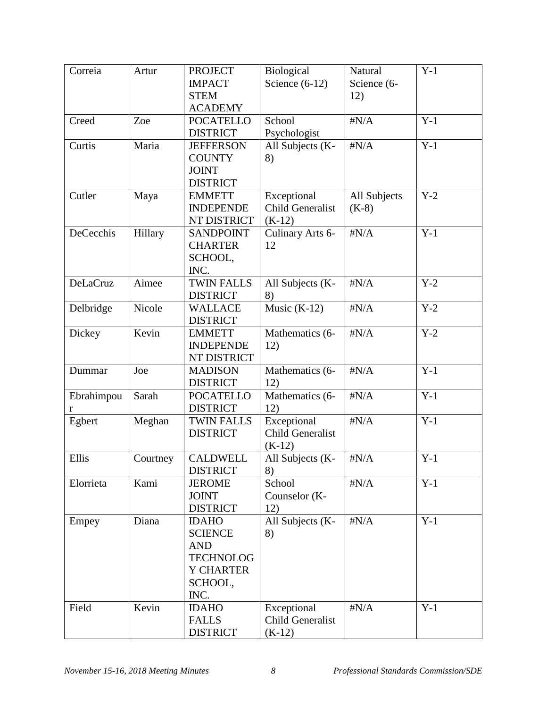| Correia         | Artur    | <b>PROJECT</b>    | <b>Biological</b>       | Natural      | $Y-1$ |
|-----------------|----------|-------------------|-------------------------|--------------|-------|
|                 |          | <b>IMPACT</b>     | Science $(6-12)$        | Science (6-  |       |
|                 |          | <b>STEM</b>       |                         | 12)          |       |
|                 |          | <b>ACADEMY</b>    |                         |              |       |
| Creed           | Zoe      | <b>POCATELLO</b>  | School                  | $\sharp N/A$ | $Y-1$ |
|                 |          | <b>DISTRICT</b>   | Psychologist            |              |       |
| Curtis          | Maria    | <b>JEFFERSON</b>  | All Subjects (K-        | $\sharp N/A$ | $Y-1$ |
|                 |          | <b>COUNTY</b>     | 8)                      |              |       |
|                 |          | <b>JOINT</b>      |                         |              |       |
|                 |          | <b>DISTRICT</b>   |                         |              |       |
| Cutler          | Maya     | <b>EMMETT</b>     | Exceptional             | All Subjects | $Y-2$ |
|                 |          | <b>INDEPENDE</b>  | <b>Child Generalist</b> | $(K-8)$      |       |
|                 |          | NT DISTRICT       | $(K-12)$                |              |       |
| DeCecchis       | Hillary  | <b>SANDPOINT</b>  | Culinary Arts 6-        | $\sharp N/A$ | $Y-1$ |
|                 |          | <b>CHARTER</b>    | 12                      |              |       |
|                 |          | SCHOOL,           |                         |              |       |
|                 |          | INC.              |                         |              |       |
| <b>DeLaCruz</b> | Aimee    | <b>TWIN FALLS</b> | All Subjects (K-        | $\sharp N/A$ | $Y-2$ |
|                 |          | <b>DISTRICT</b>   | 8)                      |              |       |
| Delbridge       | Nicole   | <b>WALLACE</b>    | Music $(K-12)$          | $\sharp N/A$ | $Y-2$ |
|                 |          | <b>DISTRICT</b>   |                         |              |       |
| Dickey          | Kevin    | <b>EMMETT</b>     | Mathematics (6-         | $\sharp N/A$ | $Y-2$ |
|                 |          | <b>INDEPENDE</b>  | 12)                     |              |       |
|                 |          | NT DISTRICT       |                         |              |       |
| Dummar          | Joe      | <b>MADISON</b>    | Mathematics (6-         | $\sharp N/A$ | $Y-1$ |
|                 |          | <b>DISTRICT</b>   | 12)                     |              |       |
| Ebrahimpou      | Sarah    | <b>POCATELLO</b>  | Mathematics (6-         | $\sharp N/A$ | $Y-1$ |
| r               |          | <b>DISTRICT</b>   | 12)                     |              |       |
| Egbert          | Meghan   | <b>TWIN FALLS</b> | Exceptional             | $\sharp N/A$ | $Y-1$ |
|                 |          | <b>DISTRICT</b>   | <b>Child Generalist</b> |              |       |
|                 |          |                   | $(K-12)$                |              |       |
| Ellis           | Courtney | <b>CALDWELL</b>   | All Subjects (K-        | $\sharp N/A$ | $Y-1$ |
|                 |          | <b>DISTRICT</b>   | 8)                      |              |       |
| Elorrieta       | Kami     | <b>JEROME</b>     | School                  | $\sharp N/A$ | $Y-1$ |
|                 |          | <b>JOINT</b>      | Counselor (K-           |              |       |
|                 |          | <b>DISTRICT</b>   | 12)                     |              |       |
| Empey           | Diana    | <b>IDAHO</b>      | All Subjects (K-        | $\sharp N/A$ | $Y-1$ |
|                 |          | <b>SCIENCE</b>    | 8)                      |              |       |
|                 |          | <b>AND</b>        |                         |              |       |
|                 |          | <b>TECHNOLOG</b>  |                         |              |       |
|                 |          | <b>Y CHARTER</b>  |                         |              |       |
|                 |          | SCHOOL,           |                         |              |       |
|                 |          | INC.              |                         |              |       |
| Field           | Kevin    | <b>IDAHO</b>      | Exceptional             | $\sharp N/A$ | $Y-1$ |
|                 |          | <b>FALLS</b>      | <b>Child Generalist</b> |              |       |
|                 |          | <b>DISTRICT</b>   | $(K-12)$                |              |       |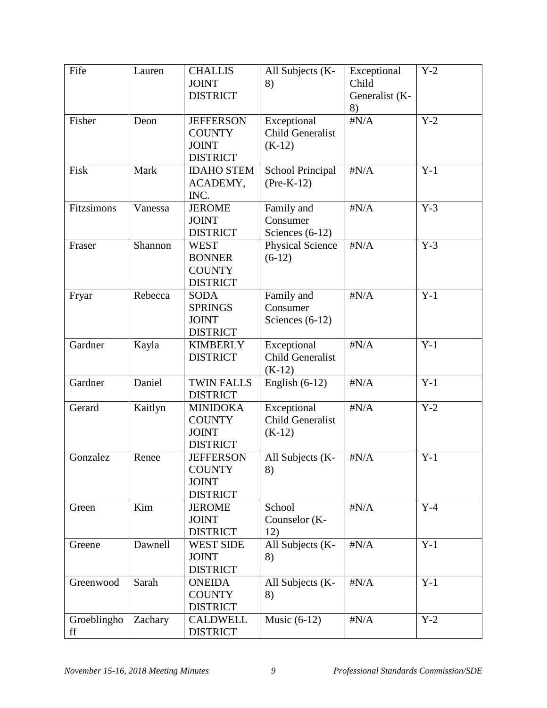| Fife              | Lauren  | <b>CHALLIS</b><br><b>JOINT</b>                                       | All Subjects (K-<br>8)                             | Exceptional<br>Child | $Y-2$            |
|-------------------|---------|----------------------------------------------------------------------|----------------------------------------------------|----------------------|------------------|
|                   |         | <b>DISTRICT</b>                                                      |                                                    | Generalist (K-<br>8) |                  |
| Fisher            | Deon    | <b>JEFFERSON</b><br><b>COUNTY</b><br><b>JOINT</b><br><b>DISTRICT</b> | Exceptional<br><b>Child Generalist</b><br>$(K-12)$ | $\sharp N/A$         | $Y-2$            |
| Fisk              | Mark    | <b>IDAHO STEM</b><br>ACADEMY,<br>INC.                                | School Principal<br>$(Pre-K-12)$                   | $\sharp N/A$         | $Y-1$            |
| Fitzsimons        | Vanessa | <b>JEROME</b><br><b>JOINT</b><br><b>DISTRICT</b>                     | Family and<br>Consumer<br>Sciences $(6-12)$        | $\sharp N/A$         | $Y-3$            |
| Fraser            | Shannon | <b>WEST</b><br><b>BONNER</b><br><b>COUNTY</b><br><b>DISTRICT</b>     | <b>Physical Science</b><br>$(6-12)$                | $\sharp N/A$         | $Y-3$            |
| Fryar             | Rebecca | <b>SODA</b><br><b>SPRINGS</b><br><b>JOINT</b><br><b>DISTRICT</b>     | Family and<br>Consumer<br>Sciences $(6-12)$        | $\sharp N/A$         | $Y-1$            |
| Gardner           | Kayla   | <b>KIMBERLY</b><br><b>DISTRICT</b>                                   | Exceptional<br><b>Child Generalist</b><br>$(K-12)$ | $\sharp N/A$         | $Y-1$            |
| Gardner           | Daniel  | <b>TWIN FALLS</b><br><b>DISTRICT</b>                                 | English $(6-12)$                                   | $\sharp N/A$         | $Y-1$            |
| Gerard            | Kaitlyn | <b>MINIDOKA</b><br><b>COUNTY</b><br><b>JOINT</b><br><b>DISTRICT</b>  | Exceptional<br><b>Child Generalist</b><br>$(K-12)$ | $\sharp N/A$         | $Y-2$            |
| Gonzalez          | Renee   | <b>JEFFERSON</b><br><b>COUNTY</b><br><b>JOINT</b><br><b>DISTRICT</b> | All Subjects (K-<br>8)                             | $\sharp N/A$         | $Y-1$            |
| Green             | Kim     | <b>JEROME</b><br><b>JOINT</b><br><b>DISTRICT</b>                     | School<br>Counselor (K-<br>12)                     | $\sharp N/A$         | $Y-4$            |
| Greene            | Dawnell | <b>WEST SIDE</b><br><b>JOINT</b><br><b>DISTRICT</b>                  | All Subjects (K-<br>8)                             | $\sharp N/A$         | $Y-1$            |
| Greenwood         | Sarah   | <b>ONEIDA</b><br><b>COUNTY</b><br><b>DISTRICT</b>                    | All Subjects (K-<br>8)                             | $\sharp N/A$         | $\overline{Y}-1$ |
| Groeblingho<br>ff | Zachary | <b>CALDWELL</b><br><b>DISTRICT</b>                                   | Music $(6-12)$                                     | $\sharp N/A$         | $Y-2$            |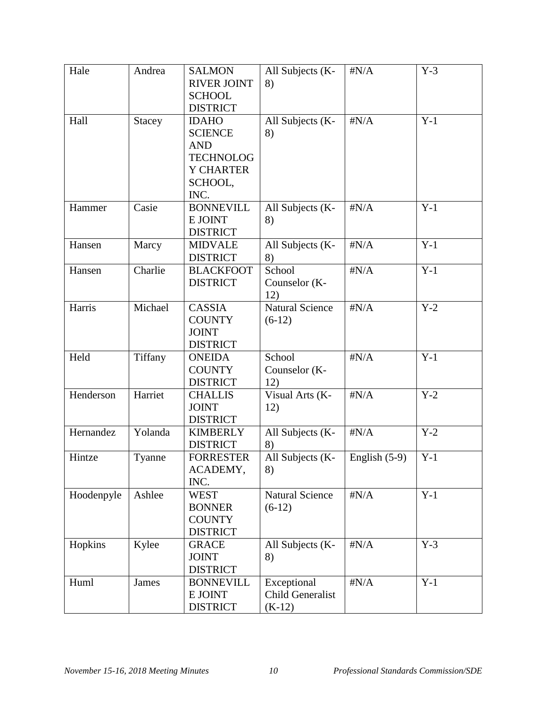| Hale       | Andrea  | <b>SALMON</b><br><b>RIVER JOINT</b><br><b>SCHOOL</b><br><b>DISTRICT</b>                                 | All Subjects (K-<br>8)                             | $\sharp N/A$    | $Y-3$ |
|------------|---------|---------------------------------------------------------------------------------------------------------|----------------------------------------------------|-----------------|-------|
| Hall       | Stacey  | <b>IDAHO</b><br><b>SCIENCE</b><br><b>AND</b><br><b>TECHNOLOG</b><br><b>Y CHARTER</b><br>SCHOOL,<br>INC. | All Subjects (K-<br>8)                             | $\sharp N/A$    | $Y-1$ |
| Hammer     | Casie   | <b>BONNEVILL</b><br>E JOINT<br><b>DISTRICT</b>                                                          | All Subjects (K-<br>8)                             | $\sharp N/A$    | $Y-1$ |
| Hansen     | Marcy   | <b>MIDVALE</b><br><b>DISTRICT</b>                                                                       | All Subjects (K-<br>8)                             | $\sharp N/A$    | $Y-1$ |
| Hansen     | Charlie | <b>BLACKFOOT</b><br><b>DISTRICT</b>                                                                     | School<br>Counselor (K-<br>12)                     | $\sharp N/A$    | $Y-1$ |
| Harris     | Michael | CASSIA<br><b>COUNTY</b><br><b>JOINT</b><br><b>DISTRICT</b>                                              | <b>Natural Science</b><br>$(6-12)$                 | $\sharp N/A$    | $Y-2$ |
| Held       | Tiffany | <b>ONEIDA</b><br><b>COUNTY</b><br><b>DISTRICT</b>                                                       | School<br>Counselor (K-<br>12)                     | $\sharp N/A$    | $Y-1$ |
| Henderson  | Harriet | <b>CHALLIS</b><br><b>JOINT</b><br><b>DISTRICT</b>                                                       | Visual Arts (K-<br>12)                             | $\sharp N/A$    | $Y-2$ |
| Hernandez  | Yolanda | <b>KIMBERLY</b><br><b>DISTRICT</b>                                                                      | All Subjects (K-<br>8)                             | $\sharp N/A$    | $Y-2$ |
| Hintze     | Tyanne  | <b>FORRESTER</b><br>ACADEMY,<br>INC.                                                                    | All Subjects (K-<br>8)                             | English $(5-9)$ | $Y-1$ |
| Hoodenpyle | Ashlee  | <b>WEST</b><br><b>BONNER</b><br><b>COUNTY</b><br><b>DISTRICT</b>                                        | <b>Natural Science</b><br>$(6-12)$                 | $\sharp N/A$    | $Y-1$ |
| Hopkins    | Kylee   | <b>GRACE</b><br><b>JOINT</b><br><b>DISTRICT</b>                                                         | All Subjects (K-<br>8)                             | $\sharp N/A$    | $Y-3$ |
| Huml       | James   | <b>BONNEVILL</b><br>E JOINT<br><b>DISTRICT</b>                                                          | Exceptional<br><b>Child Generalist</b><br>$(K-12)$ | $\#N/A$         | $Y-1$ |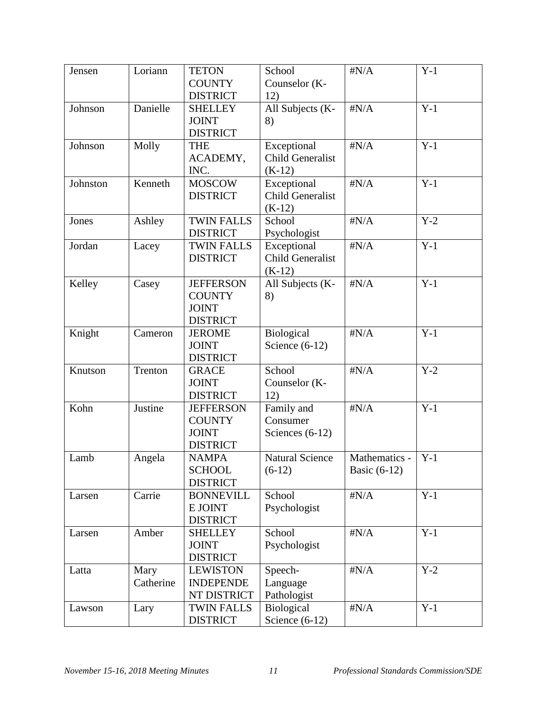| Jensen   | Loriann   | <b>TETON</b>                         | School                                 | $\sharp N/A$   | $Y-1$ |
|----------|-----------|--------------------------------------|----------------------------------------|----------------|-------|
|          |           | <b>COUNTY</b>                        | Counselor (K-                          |                |       |
|          |           | <b>DISTRICT</b>                      | 12)                                    |                |       |
| Johnson  | Danielle  | <b>SHELLEY</b>                       | All Subjects (K-                       | $\sharp N/A$   | $Y-1$ |
|          |           | <b>JOINT</b>                         | 8)                                     |                |       |
|          |           | <b>DISTRICT</b>                      |                                        |                |       |
| Johnson  | Molly     | <b>THE</b>                           | Exceptional                            | $\sharp N/A$   | $Y-1$ |
|          |           | ACADEMY,                             | <b>Child Generalist</b>                |                |       |
|          |           | INC.                                 | $(K-12)$                               |                |       |
| Johnston | Kenneth   | <b>MOSCOW</b>                        | Exceptional                            | $\sharp N/A$   | $Y-1$ |
|          |           | <b>DISTRICT</b>                      | <b>Child Generalist</b>                |                |       |
|          |           |                                      | $(K-12)$                               |                |       |
| Jones    | Ashley    | <b>TWIN FALLS</b>                    | School                                 | $\sharp N/A$   | $Y-2$ |
|          |           | <b>DISTRICT</b><br><b>TWIN FALLS</b> | Psychologist                           | $\sharp N/A$   | $Y-1$ |
| Jordan   | Lacey     | <b>DISTRICT</b>                      | Exceptional<br><b>Child Generalist</b> |                |       |
|          |           |                                      |                                        |                |       |
| Kelley   |           | <b>JEFFERSON</b>                     | $(K-12)$                               | $\sharp N/A$   | $Y-1$ |
|          | Casey     | <b>COUNTY</b>                        | All Subjects (K-                       |                |       |
|          |           | <b>JOINT</b>                         | 8)                                     |                |       |
|          |           | <b>DISTRICT</b>                      |                                        |                |       |
| Knight   | Cameron   | <b>JEROME</b>                        | Biological                             | $\sharp N/A$   | $Y-1$ |
|          |           | <b>JOINT</b>                         | Science $(6-12)$                       |                |       |
|          |           | <b>DISTRICT</b>                      |                                        |                |       |
| Knutson  | Trenton   | <b>GRACE</b>                         | School                                 | $\sharp N/A$   | $Y-2$ |
|          |           | <b>JOINT</b>                         | Counselor (K-                          |                |       |
|          |           | <b>DISTRICT</b>                      | 12)                                    |                |       |
| Kohn     | Justine   | <b>JEFFERSON</b>                     | Family and                             | $\sharp N/A$   | $Y-1$ |
|          |           | <b>COUNTY</b>                        | Consumer                               |                |       |
|          |           | <b>JOINT</b>                         | Sciences $(6-12)$                      |                |       |
|          |           | <b>DISTRICT</b>                      |                                        |                |       |
| Lamb     | Angela    | <b>NAMPA</b>                         | <b>Natural Science</b>                 | Mathematics -  | $Y-1$ |
|          |           | <b>SCHOOL</b>                        | $(6-12)$                               | Basic $(6-12)$ |       |
|          |           | <b>DISTRICT</b>                      |                                        |                |       |
| Larsen   | Carrie    | <b>BONNEVILL</b>                     | School                                 | $\sharp N/A$   | $Y-1$ |
|          |           | E JOINT                              | Psychologist                           |                |       |
|          |           | <b>DISTRICT</b>                      |                                        |                |       |
| Larsen   | Amber     | <b>SHELLEY</b>                       | School                                 | $\sharp N/A$   | $Y-1$ |
|          |           | <b>JOINT</b>                         | Psychologist                           |                |       |
|          |           | <b>DISTRICT</b>                      |                                        |                |       |
| Latta    | Mary      | <b>LEWISTON</b>                      | Speech-                                | $\sharp N/A$   | $Y-2$ |
|          | Catherine | <b>INDEPENDE</b>                     | Language                               |                |       |
|          |           | NT DISTRICT                          | Pathologist                            |                |       |
| Lawson   | Lary      | <b>TWIN FALLS</b>                    | <b>Biological</b>                      | $\sharp N/A$   | $Y-1$ |
|          |           | <b>DISTRICT</b>                      | Science $(6-12)$                       |                |       |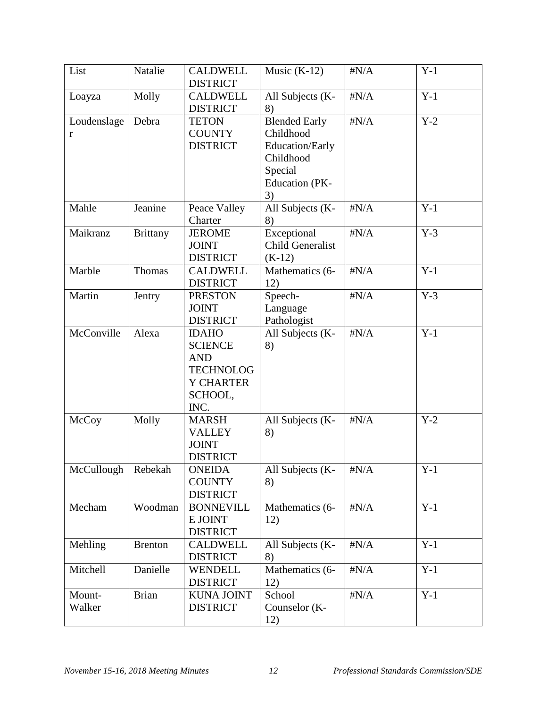| List             | Natalie         | <b>CALDWELL</b><br><b>DISTRICT</b>                                                                      | Music $(K-12)$                                                                                              | $\sharp N/A$ | $Y-1$ |
|------------------|-----------------|---------------------------------------------------------------------------------------------------------|-------------------------------------------------------------------------------------------------------------|--------------|-------|
| Loayza           | Molly           | <b>CALDWELL</b><br><b>DISTRICT</b>                                                                      | All Subjects (K-<br>8)                                                                                      | $\sharp N/A$ | $Y-1$ |
| Loudenslage<br>r | Debra           | <b>TETON</b><br><b>COUNTY</b><br><b>DISTRICT</b>                                                        | <b>Blended Early</b><br>Childhood<br>Education/Early<br>Childhood<br>Special<br><b>Education</b> (PK-<br>3) | $\sharp N/A$ | $Y-2$ |
| Mahle            | Jeanine         | Peace Valley<br>Charter                                                                                 | All Subjects (K-<br>8)                                                                                      | $\sharp N/A$ | $Y-1$ |
| Maikranz         | <b>Brittany</b> | <b>JEROME</b><br><b>JOINT</b><br><b>DISTRICT</b>                                                        | Exceptional<br><b>Child Generalist</b><br>$(K-12)$                                                          | $\sharp N/A$ | $Y-3$ |
| Marble           | Thomas          | <b>CALDWELL</b><br><b>DISTRICT</b>                                                                      | Mathematics (6-<br>12)                                                                                      | $\sharp N/A$ | $Y-1$ |
| Martin           | Jentry          | <b>PRESTON</b><br><b>JOINT</b><br><b>DISTRICT</b>                                                       | Speech-<br>Language<br>Pathologist                                                                          | $\sharp N/A$ | $Y-3$ |
| McConville       | Alexa           | <b>IDAHO</b><br><b>SCIENCE</b><br><b>AND</b><br><b>TECHNOLOG</b><br><b>Y CHARTER</b><br>SCHOOL,<br>INC. | All Subjects (K-<br>8)                                                                                      | $\sharp N/A$ | $Y-1$ |
| McCoy            | Molly           | <b>MARSH</b><br><b>VALLEY</b><br><b>JOINT</b><br><b>DISTRICT</b>                                        | All Subjects (K-<br>8)                                                                                      | $\sharp N/A$ | $Y-2$ |
| McCullough       | Rebekah         | <b>ONEIDA</b><br><b>COUNTY</b><br><b>DISTRICT</b>                                                       | All Subjects (K-<br>8)                                                                                      | $\#N/A$      | $Y-1$ |
| Mecham           | Woodman         | <b>BONNEVILL</b><br>E JOINT<br><b>DISTRICT</b>                                                          | Mathematics (6-<br>12)                                                                                      | $\#N/A$      | $Y-1$ |
| Mehling          | <b>Brenton</b>  | <b>CALDWELL</b><br><b>DISTRICT</b>                                                                      | All Subjects (K-<br>8)                                                                                      | $\sharp N/A$ | $Y-1$ |
| Mitchell         | Danielle        | <b>WENDELL</b><br><b>DISTRICT</b>                                                                       | Mathematics (6-<br>12)                                                                                      | $\sharp N/A$ | $Y-1$ |
| Mount-<br>Walker | <b>Brian</b>    | <b>KUNA JOINT</b><br><b>DISTRICT</b>                                                                    | School<br>Counselor (K-<br>12)                                                                              | $\sharp N/A$ | $Y-1$ |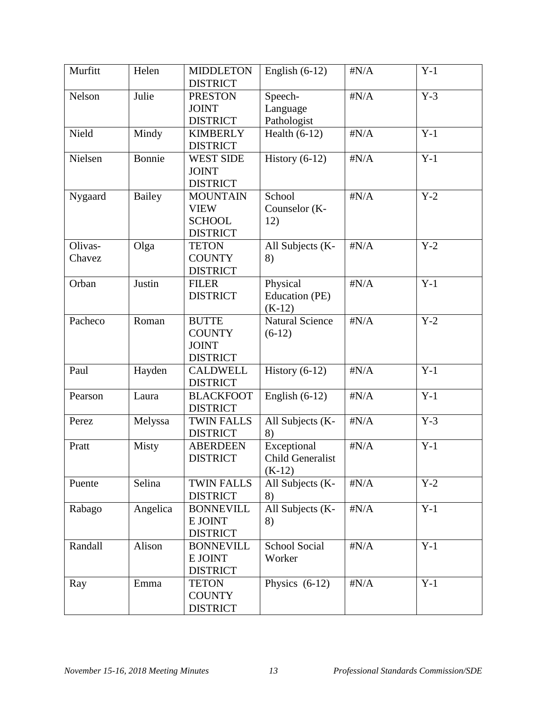| Murfitt           | Helen         | <b>MIDDLETON</b><br><b>DISTRICT</b>                                | English $(6-12)$                                   | $\sharp N/A$ | $Y-1$ |
|-------------------|---------------|--------------------------------------------------------------------|----------------------------------------------------|--------------|-------|
| Nelson            | Julie         | <b>PRESTON</b><br><b>JOINT</b><br><b>DISTRICT</b>                  | Speech-<br>Language<br>Pathologist                 | $\sharp N/A$ | $Y-3$ |
| Nield             | Mindy         | <b>KIMBERLY</b><br><b>DISTRICT</b>                                 | Health $(6-12)$                                    | $\sharp N/A$ | $Y-1$ |
| Nielsen           | Bonnie        | <b>WEST SIDE</b><br><b>JOINT</b><br><b>DISTRICT</b>                | History $(6-12)$                                   | $\sharp N/A$ | $Y-1$ |
| Nygaard           | <b>Bailey</b> | <b>MOUNTAIN</b><br><b>VIEW</b><br><b>SCHOOL</b><br><b>DISTRICT</b> | School<br>Counselor (K-<br>12)                     | $\sharp N/A$ | $Y-2$ |
| Olivas-<br>Chavez | Olga          | <b>TETON</b><br><b>COUNTY</b><br><b>DISTRICT</b>                   | All Subjects (K-<br>8)                             | $\sharp N/A$ | $Y-2$ |
| Orban             | Justin        | <b>FILER</b><br><b>DISTRICT</b>                                    | Physical<br>Education (PE)<br>$(K-12)$             | $\sharp N/A$ | $Y-1$ |
| Pacheco           | Roman         | <b>BUTTE</b><br><b>COUNTY</b><br><b>JOINT</b><br><b>DISTRICT</b>   | <b>Natural Science</b><br>$(6-12)$                 | $\sharp N/A$ | $Y-2$ |
| Paul              | Hayden        | <b>CALDWELL</b><br><b>DISTRICT</b>                                 | History $(6-12)$                                   | $\sharp N/A$ | $Y-1$ |
| Pearson           | Laura         | <b>BLACKFOOT</b><br><b>DISTRICT</b>                                | English $(6-12)$                                   | $\sharp N/A$ | $Y-1$ |
| Perez             | Melyssa       | <b>TWIN FALLS</b><br><b>DISTRICT</b>                               | All Subjects (K-<br>8)                             | $\sharp N/A$ | $Y-3$ |
| Pratt             | Misty         | <b>ABERDEEN</b><br><b>DISTRICT</b>                                 | Exceptional<br><b>Child Generalist</b><br>$(K-12)$ | $\sharp N/A$ | $Y-1$ |
| Puente            | Selina        | <b>TWIN FALLS</b><br><b>DISTRICT</b>                               | All Subjects (K-<br>8)                             | $\sharp N/A$ | $Y-2$ |
| Rabago            | Angelica      | <b>BONNEVILL</b><br>E JOINT<br><b>DISTRICT</b>                     | All Subjects (K-<br>8)                             | $\sharp N/A$ | $Y-1$ |
| Randall           | Alison        | <b>BONNEVILL</b><br>E JOINT<br><b>DISTRICT</b>                     | <b>School Social</b><br>Worker                     | $\sharp N/A$ | $Y-1$ |
| Ray               | Emma          | <b>TETON</b><br><b>COUNTY</b><br><b>DISTRICT</b>                   | Physics $(6-12)$                                   | $\sharp N/A$ | $Y-1$ |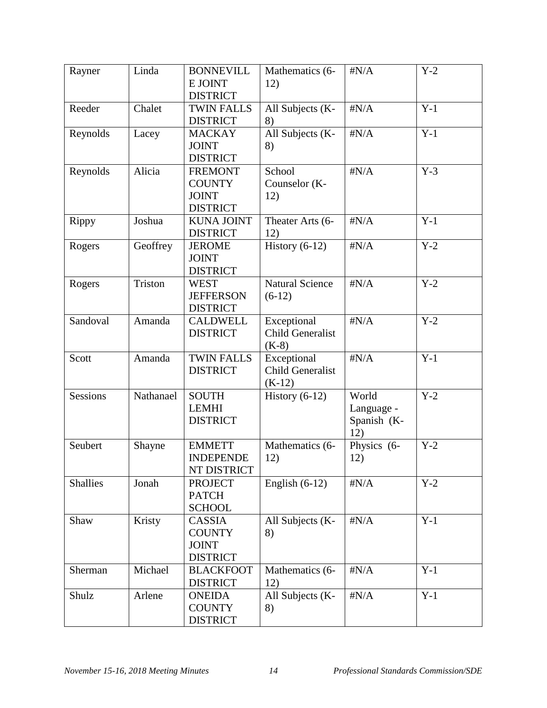| Rayner          | Linda     | <b>BONNEVILL</b><br>E JOINT<br><b>DISTRICT</b>                     | Mathematics (6-<br>12)                             | $\sharp N/A$                              | $Y-2$ |
|-----------------|-----------|--------------------------------------------------------------------|----------------------------------------------------|-------------------------------------------|-------|
| Reeder          | Chalet    | <b>TWIN FALLS</b><br><b>DISTRICT</b>                               | All Subjects (K-<br>8)                             | $\sharp N/A$                              | $Y-1$ |
| Reynolds        | Lacey     | <b>MACKAY</b><br><b>JOINT</b><br><b>DISTRICT</b>                   | All Subjects (K-<br>8)                             | $\sharp N/A$                              | $Y-1$ |
| Reynolds        | Alicia    | <b>FREMONT</b><br><b>COUNTY</b><br><b>JOINT</b><br><b>DISTRICT</b> | School<br>Counselor (K-<br>12)                     | $\sharp N/A$                              | $Y-3$ |
| Rippy           | Joshua    | <b>KUNA JOINT</b><br><b>DISTRICT</b>                               | Theater Arts (6-<br>12)                            | $\sharp N/A$                              | $Y-1$ |
| Rogers          | Geoffrey  | <b>JEROME</b><br><b>JOINT</b><br><b>DISTRICT</b>                   | History $(6-12)$                                   | $\sharp N/A$                              | $Y-2$ |
| Rogers          | Triston   | <b>WEST</b><br><b>JEFFERSON</b><br><b>DISTRICT</b>                 | <b>Natural Science</b><br>$(6-12)$                 | $\sharp N/A$                              | $Y-2$ |
| Sandoval        | Amanda    | <b>CALDWELL</b><br><b>DISTRICT</b>                                 | Exceptional<br><b>Child Generalist</b><br>$(K-8)$  | $\sharp N/A$                              | $Y-2$ |
| Scott           | Amanda    | <b>TWIN FALLS</b><br><b>DISTRICT</b>                               | Exceptional<br><b>Child Generalist</b><br>$(K-12)$ | $\sharp N/A$                              | $Y-1$ |
| <b>Sessions</b> | Nathanael | <b>SOUTH</b><br><b>LEMHI</b><br><b>DISTRICT</b>                    | History $(6-12)$                                   | World<br>Language -<br>Spanish (K-<br>12) | $Y-2$ |
| Seubert         | Shayne    | <b>EMMETT</b><br><b>INDEPENDE</b><br>NT DISTRICT                   | Mathematics (6-<br>12)                             | Physics (6-<br>12)                        | $Y-2$ |
| <b>Shallies</b> | Jonah     | <b>PROJECT</b><br><b>PATCH</b><br><b>SCHOOL</b>                    | English $(6-12)$                                   | $\sharp N/A$                              | $Y-2$ |
| Shaw            | Kristy    | <b>CASSIA</b><br><b>COUNTY</b><br><b>JOINT</b><br><b>DISTRICT</b>  | All Subjects (K-<br>8)                             | $\sharp N/A$                              | $Y-1$ |
| Sherman         | Michael   | <b>BLACKFOOT</b><br><b>DISTRICT</b>                                | Mathematics (6-<br>12)                             | $\sharp N/A$                              | $Y-1$ |
| Shulz           | Arlene    | <b>ONEIDA</b><br><b>COUNTY</b><br><b>DISTRICT</b>                  | All Subjects (K-<br>8)                             | $\sharp N/A$                              | $Y-1$ |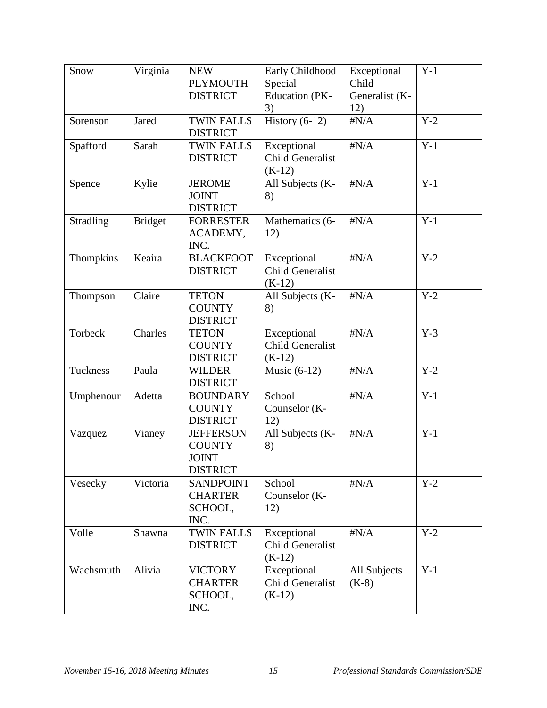| Snow             | Virginia       | <b>NEW</b>        | Early Childhood         | Exceptional    | $Y-1$ |
|------------------|----------------|-------------------|-------------------------|----------------|-------|
|                  |                | <b>PLYMOUTH</b>   | Special                 | Child          |       |
|                  |                | <b>DISTRICT</b>   | <b>Education</b> (PK-   | Generalist (K- |       |
|                  |                |                   | 3)                      | 12)            |       |
| Sorenson         | Jared          | <b>TWIN FALLS</b> | History $(6-12)$        | $\sharp N/A$   | $Y-2$ |
|                  |                | <b>DISTRICT</b>   |                         |                |       |
| Spafford         | Sarah          | <b>TWIN FALLS</b> | Exceptional             | $\sharp N/A$   | $Y-1$ |
|                  |                | <b>DISTRICT</b>   | <b>Child Generalist</b> |                |       |
|                  |                |                   | $(K-12)$                |                |       |
| Spence           | Kylie          | <b>JEROME</b>     | All Subjects (K-        | $\sharp N/A$   | $Y-1$ |
|                  |                | <b>JOINT</b>      | 8)                      |                |       |
|                  |                | <b>DISTRICT</b>   |                         |                |       |
| <b>Stradling</b> | <b>Bridget</b> | <b>FORRESTER</b>  | Mathematics (6-         | $\sharp N/A$   | $Y-1$ |
|                  |                | ACADEMY,          | 12)                     |                |       |
|                  |                | INC.              |                         |                |       |
| Thompkins        | Keaira         | <b>BLACKFOOT</b>  | Exceptional             | $\sharp N/A$   | $Y-2$ |
|                  |                | <b>DISTRICT</b>   | <b>Child Generalist</b> |                |       |
|                  |                |                   | $(K-12)$                |                |       |
| Thompson         | Claire         | <b>TETON</b>      | All Subjects (K-        | $\sharp N/A$   | $Y-2$ |
|                  |                | <b>COUNTY</b>     | 8)                      |                |       |
|                  |                | <b>DISTRICT</b>   |                         |                |       |
| Torbeck          | Charles        | <b>TETON</b>      | Exceptional             | $\sharp N/A$   | $Y-3$ |
|                  |                | <b>COUNTY</b>     | <b>Child Generalist</b> |                |       |
|                  |                | <b>DISTRICT</b>   | $(K-12)$                |                |       |
| Tuckness         | Paula          | <b>WILDER</b>     | Music $(6-12)$          | $\sharp N/A$   | $Y-2$ |
|                  |                | <b>DISTRICT</b>   |                         |                |       |
| Umphenour        | Adetta         | <b>BOUNDARY</b>   | School                  | $\sharp N/A$   | $Y-1$ |
|                  |                | <b>COUNTY</b>     | Counselor (K-           |                |       |
|                  |                | <b>DISTRICT</b>   | 12)                     |                |       |
| Vazquez          | Vianey         | <b>JEFFERSON</b>  | All Subjects (K-        | $\sharp N/A$   | $Y-1$ |
|                  |                | <b>COUNTY</b>     | 8)                      |                |       |
|                  |                | <b>JOINT</b>      |                         |                |       |
|                  |                | <b>DISTRICT</b>   |                         |                |       |
| Vesecky          | Victoria       | <b>SANDPOINT</b>  | School                  | $\sharp N/A$   | $Y-2$ |
|                  |                | <b>CHARTER</b>    | Counselor (K-           |                |       |
|                  |                | SCHOOL,           | 12)                     |                |       |
|                  |                | INC.              |                         |                |       |
| Volle            | Shawna         | <b>TWIN FALLS</b> | Exceptional             | $\sharp N/A$   | $Y-2$ |
|                  |                | <b>DISTRICT</b>   | <b>Child Generalist</b> |                |       |
|                  |                |                   | $(K-12)$                |                |       |
| Wachsmuth        | Alivia         | <b>VICTORY</b>    | Exceptional             | All Subjects   | $Y-1$ |
|                  |                | <b>CHARTER</b>    | <b>Child Generalist</b> | $(K-8)$        |       |
|                  |                | SCHOOL,           | $(K-12)$                |                |       |
|                  |                | INC.              |                         |                |       |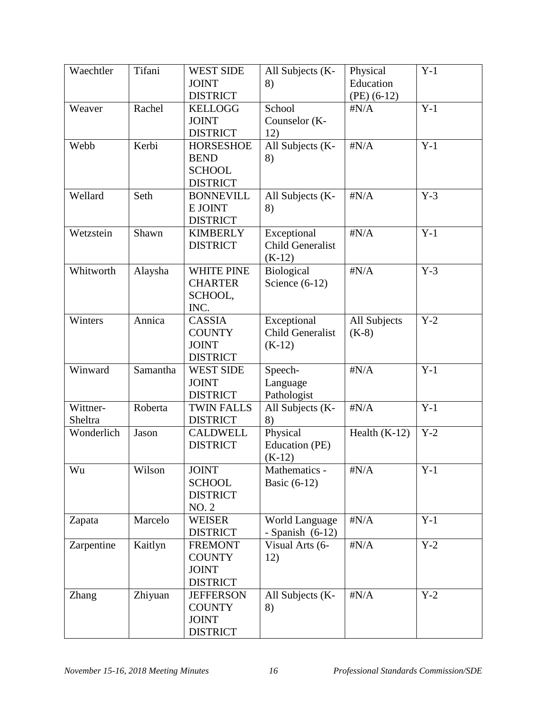| Waechtler    | Tifani   | <b>WEST SIDE</b>  | All Subjects (K-        | Physical        | $Y-1$ |
|--------------|----------|-------------------|-------------------------|-----------------|-------|
|              |          | <b>JOINT</b>      | 8)                      | Education       |       |
|              |          | <b>DISTRICT</b>   |                         | $(PE)$ (6-12)   |       |
| Weaver       | Rachel   | <b>KELLOGG</b>    | School                  | $\sharp N/A$    | $Y-1$ |
|              |          | <b>JOINT</b>      | Counselor (K-           |                 |       |
|              |          | <b>DISTRICT</b>   | 12)                     |                 |       |
| Webb         | Kerbi    | <b>HORSESHOE</b>  | All Subjects (K-        | $\sharp N/A$    | $Y-1$ |
|              |          | <b>BEND</b>       | 8)                      |                 |       |
|              |          | <b>SCHOOL</b>     |                         |                 |       |
|              |          | <b>DISTRICT</b>   |                         |                 |       |
| Wellard      | Seth     | <b>BONNEVILL</b>  | All Subjects (K-        | $\sharp N/A$    | $Y-3$ |
|              |          | E JOINT           | 8)                      |                 |       |
|              |          | <b>DISTRICT</b>   |                         |                 |       |
| Wetzstein    | Shawn    | <b>KIMBERLY</b>   | Exceptional             | $\sharp N/A$    | $Y-1$ |
|              |          | <b>DISTRICT</b>   | <b>Child Generalist</b> |                 |       |
|              |          |                   | $(K-12)$                |                 |       |
| Whitworth    | Alaysha  | <b>WHITE PINE</b> | Biological              | $\sharp N/A$    | $Y-3$ |
|              |          | <b>CHARTER</b>    | Science $(6-12)$        |                 |       |
|              |          | SCHOOL,           |                         |                 |       |
|              |          | INC.              |                         |                 |       |
| Winters      | Annica   | <b>CASSIA</b>     | Exceptional             | All Subjects    | $Y-2$ |
|              |          | <b>COUNTY</b>     | <b>Child Generalist</b> | $(K-8)$         |       |
|              |          | <b>JOINT</b>      | $(K-12)$                |                 |       |
|              |          | <b>DISTRICT</b>   |                         |                 |       |
| Winward      | Samantha | <b>WEST SIDE</b>  | Speech-                 | $\sharp N/A$    | $Y-1$ |
|              |          | <b>JOINT</b>      | Language                |                 |       |
|              |          | <b>DISTRICT</b>   | Pathologist             |                 |       |
| Wittner-     | Roberta  | <b>TWIN FALLS</b> | All Subjects (K-        | $\sharp N/A$    | $Y-1$ |
| Sheltra      |          | <b>DISTRICT</b>   | 8)                      |                 |       |
| Wonderlich   | Jason    | <b>CALDWELL</b>   | Physical                | Health $(K-12)$ | $Y-2$ |
|              |          | <b>DISTRICT</b>   | Education (PE)          |                 |       |
|              |          |                   | $(K-12)$                |                 |       |
| Wu           | Wilson   | <b>JOINT</b>      | Mathematics -           | $\sharp N/A$    | $Y-1$ |
|              |          | <b>SCHOOL</b>     | Basic $(6-12)$          |                 |       |
|              |          | <b>DISTRICT</b>   |                         |                 |       |
|              |          | <b>NO. 2</b>      |                         |                 |       |
| Zapata       | Marcelo  | <b>WEISER</b>     | <b>World Language</b>   | $\sharp N/A$    | $Y-1$ |
|              |          | <b>DISTRICT</b>   | - Spanish $(6-12)$      |                 |       |
| Zarpentine   | Kaitlyn  | <b>FREMONT</b>    | Visual Arts (6-         | $\#N/A$         | $Y-2$ |
|              |          | <b>COUNTY</b>     | 12)                     |                 |       |
|              |          | <b>JOINT</b>      |                         |                 |       |
|              |          | <b>DISTRICT</b>   |                         |                 |       |
| <b>Zhang</b> | Zhiyuan  | <b>JEFFERSON</b>  | All Subjects (K-        | $\sharp N/A$    | $Y-2$ |
|              |          | <b>COUNTY</b>     | 8)                      |                 |       |
|              |          | <b>JOINT</b>      |                         |                 |       |
|              |          | <b>DISTRICT</b>   |                         |                 |       |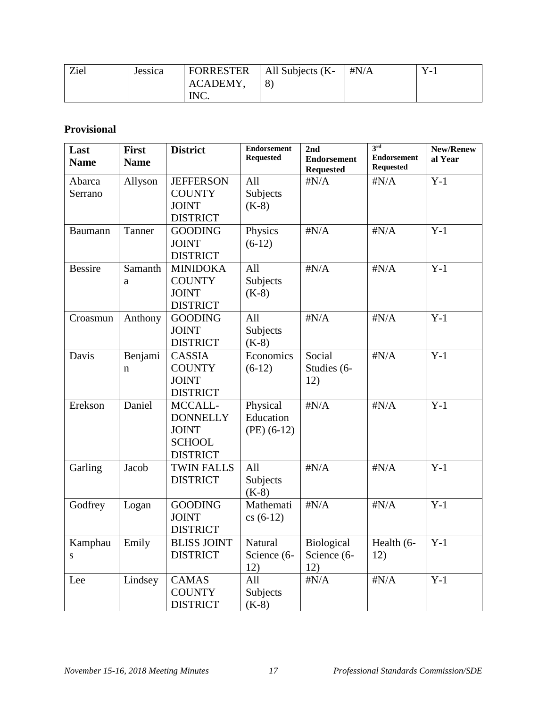| Ziel | Jessica | <b>FORRESTER</b> | All Subjects (K- | # $N/A$ | $\overline{\phantom{0}}$ |
|------|---------|------------------|------------------|---------|--------------------------|
|      |         | ACADEMY,         | 8                |         |                          |
|      |         | INC.             |                  |         |                          |

# **Provisional**

| Last<br><b>Name</b> | <b>First</b><br><b>Name</b> | <b>District</b>    | <b>Endorsement</b><br><b>Requested</b> | 2nd<br><b>Endorsement</b> | 3rd<br><b>Endorsement</b> | New/Renew<br>al Year |
|---------------------|-----------------------------|--------------------|----------------------------------------|---------------------------|---------------------------|----------------------|
|                     |                             |                    |                                        | <b>Requested</b>          | <b>Requested</b>          |                      |
| Abarca              | Allyson                     | <b>JEFFERSON</b>   | All                                    | $\sharp N/A$              | $\sharp N/A$              | $Y-1$                |
| Serrano             |                             | <b>COUNTY</b>      | Subjects                               |                           |                           |                      |
|                     |                             | <b>JOINT</b>       | $(K-8)$                                |                           |                           |                      |
|                     |                             | <b>DISTRICT</b>    |                                        |                           |                           |                      |
| Baumann             | Tanner                      | <b>GOODING</b>     | Physics                                | $\sharp N/A$              | $\sharp N/A$              | $Y-1$                |
|                     |                             | <b>JOINT</b>       | $(6-12)$                               |                           |                           |                      |
|                     |                             | <b>DISTRICT</b>    |                                        |                           |                           |                      |
| <b>Bessire</b>      | Samanth                     | <b>MINIDOKA</b>    | All                                    | $\sharp N/A$              | $\sharp N/A$              | $Y-1$                |
|                     | a                           | <b>COUNTY</b>      | Subjects                               |                           |                           |                      |
|                     |                             | <b>JOINT</b>       | $(K-8)$                                |                           |                           |                      |
|                     |                             | <b>DISTRICT</b>    |                                        |                           |                           |                      |
| Croasmun            | Anthony                     | <b>GOODING</b>     | All                                    | $\sharp N/A$              | $\sharp N/A$              | $Y-1$                |
|                     |                             | <b>JOINT</b>       | Subjects                               |                           |                           |                      |
|                     |                             | <b>DISTRICT</b>    | $(K-8)$                                |                           |                           |                      |
| Davis               | Benjami                     | <b>CASSIA</b>      | Economics                              | Social                    | $\sharp N/A$              | $Y-1$                |
|                     | n                           | <b>COUNTY</b>      | $(6-12)$                               | Studies (6-               |                           |                      |
|                     |                             | <b>JOINT</b>       |                                        | 12)                       |                           |                      |
|                     |                             | <b>DISTRICT</b>    |                                        |                           |                           |                      |
| Erekson             | Daniel                      | MCCALL-            | Physical                               | $\sharp N/A$              | $\sharp N/A$              | $Y-1$                |
|                     |                             | <b>DONNELLY</b>    | Education                              |                           |                           |                      |
|                     |                             | <b>JOINT</b>       | $(PE)$ (6-12)                          |                           |                           |                      |
|                     |                             | <b>SCHOOL</b>      |                                        |                           |                           |                      |
|                     |                             | <b>DISTRICT</b>    |                                        |                           |                           |                      |
| Garling             | Jacob                       | <b>TWIN FALLS</b>  | All                                    | $\sharp N/A$              | $\sharp N/A$              | $Y-1$                |
|                     |                             | <b>DISTRICT</b>    | Subjects                               |                           |                           |                      |
|                     |                             |                    | $(K-8)$                                |                           |                           |                      |
| Godfrey             | Logan                       | <b>GOODING</b>     | Mathemati                              | $\sharp N/A$              | $\sharp N/A$              | $Y-1$                |
|                     |                             | <b>JOINT</b>       | $cs(6-12)$                             |                           |                           |                      |
|                     |                             | <b>DISTRICT</b>    |                                        |                           |                           |                      |
| Kamphau             | Emily                       | <b>BLISS JOINT</b> | Natural                                | Biological                | Health (6-                | $Y-1$                |
| S                   |                             | <b>DISTRICT</b>    | Science (6-                            | Science (6-               | 12)                       |                      |
|                     |                             |                    | 12)                                    | 12)                       |                           |                      |
| Lee                 | Lindsey                     | <b>CAMAS</b>       | All                                    | $\#N/A$                   | $\sharp N/A$              | $Y-1$                |
|                     |                             | <b>COUNTY</b>      | Subjects                               |                           |                           |                      |
|                     |                             | <b>DISTRICT</b>    | $(K-8)$                                |                           |                           |                      |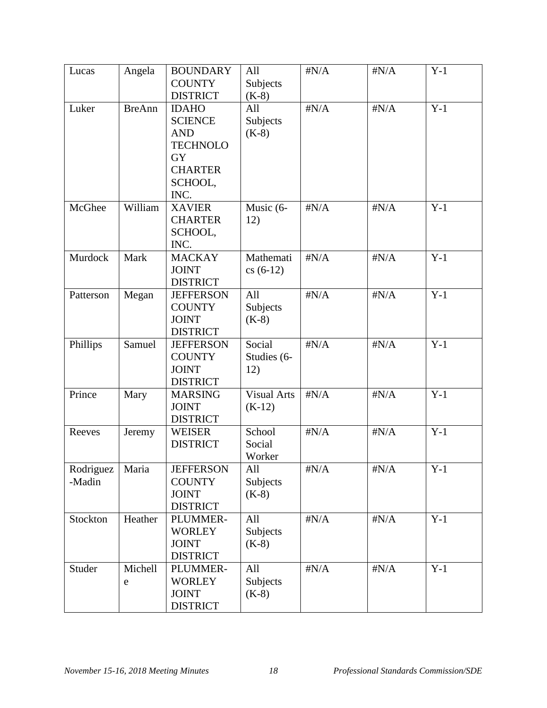| Lucas     | Angela        | <b>BOUNDARY</b>  | All                | $\sharp N/A$ | $\sharp N/A$ | $Y-1$ |
|-----------|---------------|------------------|--------------------|--------------|--------------|-------|
|           |               | <b>COUNTY</b>    | Subjects           |              |              |       |
|           |               | <b>DISTRICT</b>  | $(K-8)$            |              |              |       |
| Luker     | <b>BreAnn</b> | <b>IDAHO</b>     | All                | $\sharp N/A$ | $\sharp N/A$ | $Y-1$ |
|           |               | <b>SCIENCE</b>   | Subjects           |              |              |       |
|           |               | <b>AND</b>       | $(K-8)$            |              |              |       |
|           |               | <b>TECHNOLO</b>  |                    |              |              |       |
|           |               | <b>GY</b>        |                    |              |              |       |
|           |               | <b>CHARTER</b>   |                    |              |              |       |
|           |               | SCHOOL,          |                    |              |              |       |
|           |               | INC.             |                    |              |              |       |
| McGhee    | William       | <b>XAVIER</b>    | Music (6-          | $\sharp N/A$ | $\sharp N/A$ | $Y-1$ |
|           |               | <b>CHARTER</b>   | 12)                |              |              |       |
|           |               | SCHOOL,          |                    |              |              |       |
|           |               | INC.             |                    |              |              |       |
| Murdock   | Mark          | <b>MACKAY</b>    | Mathemati          | $\sharp N/A$ | $\sharp N/A$ | $Y-1$ |
|           |               | <b>JOINT</b>     | $cs(6-12)$         |              |              |       |
|           |               | <b>DISTRICT</b>  |                    |              |              |       |
| Patterson | Megan         | <b>JEFFERSON</b> | All                | $\sharp N/A$ | $\sharp N/A$ | $Y-1$ |
|           |               | <b>COUNTY</b>    | Subjects           |              |              |       |
|           |               | <b>JOINT</b>     | $(K-8)$            |              |              |       |
|           |               | <b>DISTRICT</b>  |                    |              |              |       |
| Phillips  | Samuel        | <b>JEFFERSON</b> | Social             | $\sharp N/A$ | $\sharp N/A$ | $Y-1$ |
|           |               | <b>COUNTY</b>    | Studies (6-        |              |              |       |
|           |               | <b>JOINT</b>     | 12)                |              |              |       |
|           |               | <b>DISTRICT</b>  |                    |              |              |       |
| Prince    | Mary          | <b>MARSING</b>   | <b>Visual Arts</b> | $\sharp N/A$ | $\sharp N/A$ | $Y-1$ |
|           |               | <b>JOINT</b>     | $(K-12)$           |              |              |       |
|           |               | <b>DISTRICT</b>  |                    |              |              |       |
| Reeves    | Jeremy        | <b>WEISER</b>    | School             | $\sharp N/A$ | $\sharp N/A$ | $Y-1$ |
|           |               | <b>DISTRICT</b>  | Social             |              |              |       |
|           |               |                  | Worker             |              |              |       |
| Rodriguez | Maria         | <b>JEFFERSON</b> | All                | $\sharp N/A$ | $\sharp N/A$ | $Y-1$ |
| -Madin    |               | <b>COUNTY</b>    | Subjects           |              |              |       |
|           |               | <b>JOINT</b>     | $(K-8)$            |              |              |       |
|           |               | <b>DISTRICT</b>  |                    |              |              |       |
| Stockton  | Heather       | PLUMMER-         | All                | $\sharp N/A$ | $\sharp N/A$ | $Y-1$ |
|           |               | <b>WORLEY</b>    | Subjects           |              |              |       |
|           |               | <b>JOINT</b>     | $(K-8)$            |              |              |       |
|           |               | <b>DISTRICT</b>  |                    |              |              |       |
| Studer    | Michell       | PLUMMER-         | All                | $\sharp N/A$ | $\sharp N/A$ | $Y-1$ |
|           | e             | <b>WORLEY</b>    | Subjects           |              |              |       |
|           |               | <b>JOINT</b>     | $(K-8)$            |              |              |       |
|           |               | <b>DISTRICT</b>  |                    |              |              |       |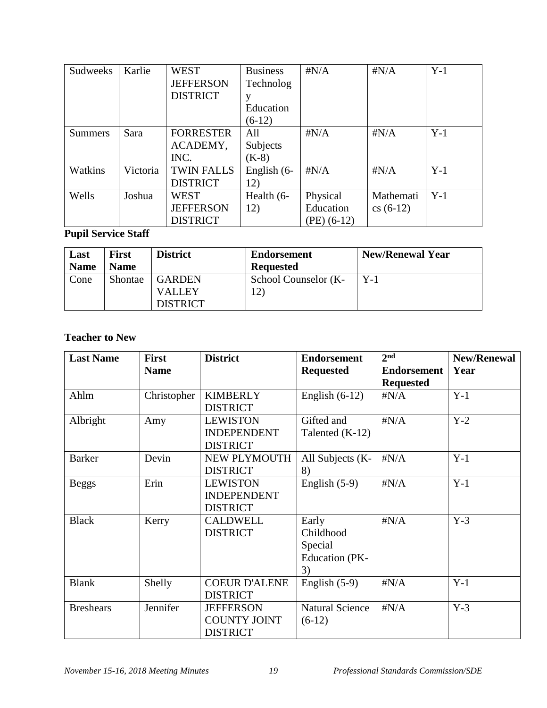| Sudweeks       | Karlie   | <b>WEST</b>       | <b>Business</b> | $\sharp N/A$  | $\sharp N/A$ | $Y-1$ |
|----------------|----------|-------------------|-----------------|---------------|--------------|-------|
|                |          | <b>JEFFERSON</b>  | Technolog       |               |              |       |
|                |          | <b>DISTRICT</b>   | у               |               |              |       |
|                |          |                   | Education       |               |              |       |
|                |          |                   | $(6-12)$        |               |              |       |
| <b>Summers</b> | Sara     | <b>FORRESTER</b>  | All             | $\sharp N/A$  | $\sharp N/A$ | $Y-1$ |
|                |          | ACADEMY,          | Subjects        |               |              |       |
|                |          | INC.              | $(K-8)$         |               |              |       |
| Watkins        | Victoria | <b>TWIN FALLS</b> | English (6-     | $\sharp N/A$  | $\sharp N/A$ | $Y-1$ |
|                |          | <b>DISTRICT</b>   | 12)             |               |              |       |
| Wells          | Joshua   | <b>WEST</b>       | Health (6-      | Physical      | Mathemati    | $Y-1$ |
|                |          | <b>JEFFERSON</b>  | 12)             | Education     | $cs(6-12)$   |       |
|                |          | <b>DISTRICT</b>   |                 | $(PE)$ (6-12) |              |       |

# **Pupil Service Staff**

| Last        | <b>First</b> | <b>District</b> | <b>Endorsement</b>   | <b>New/Renewal Year</b> |
|-------------|--------------|-----------------|----------------------|-------------------------|
| <b>Name</b> | <b>Name</b>  |                 | <b>Requested</b>     |                         |
| Cone        | Shontae      | <b>GARDEN</b>   | School Counselor (K- | $Y-1$                   |
|             |              | <b>VALLEY</b>   | 12)                  |                         |
|             |              | <b>DISTRICT</b> |                      |                         |

# **Teacher to New**

| <b>Last Name</b> | <b>First</b> | <b>District</b>      | <b>Endorsement</b>     | 2 <sub>nd</sub>    | <b>New/Renewal</b> |
|------------------|--------------|----------------------|------------------------|--------------------|--------------------|
|                  | <b>Name</b>  |                      | <b>Requested</b>       | <b>Endorsement</b> | Year               |
|                  |              |                      |                        | <b>Requested</b>   |                    |
| Ahlm             | Christopher  | <b>KIMBERLY</b>      | English $(6-12)$       | $\sharp N/A$       | $Y-1$              |
|                  |              | <b>DISTRICT</b>      |                        |                    |                    |
| Albright         | Amy          | <b>LEWISTON</b>      | Gifted and             | $\sharp N/A$       | $Y-2$              |
|                  |              | <b>INDEPENDENT</b>   | Talented $(K-12)$      |                    |                    |
|                  |              | <b>DISTRICT</b>      |                        |                    |                    |
| <b>Barker</b>    | Devin        | NEW PLYMOUTH         | All Subjects (K-       | $\sharp N/A$       | $Y-1$              |
|                  |              | <b>DISTRICT</b>      | 8)                     |                    |                    |
| <b>Beggs</b>     | Erin         | <b>LEWISTON</b>      | English $(5-9)$        | $\sharp N/A$       | $Y-1$              |
|                  |              | <b>INDEPENDENT</b>   |                        |                    |                    |
|                  |              | <b>DISTRICT</b>      |                        |                    |                    |
| <b>Black</b>     | Kerry        | <b>CALDWELL</b>      | Early                  | $\sharp N/A$       | $Y-3$              |
|                  |              | <b>DISTRICT</b>      | Childhood              |                    |                    |
|                  |              |                      | Special                |                    |                    |
|                  |              |                      | <b>Education</b> (PK-  |                    |                    |
|                  |              |                      | 3)                     |                    |                    |
| <b>Blank</b>     | Shelly       | <b>COEUR D'ALENE</b> | English $(5-9)$        | $\sharp N/A$       | $Y-1$              |
|                  |              | <b>DISTRICT</b>      |                        |                    |                    |
| <b>Breshears</b> | Jennifer     | <b>JEFFERSON</b>     | <b>Natural Science</b> | $\sharp N/A$       | $Y-3$              |
|                  |              | <b>COUNTY JOINT</b>  | $(6-12)$               |                    |                    |
|                  |              | <b>DISTRICT</b>      |                        |                    |                    |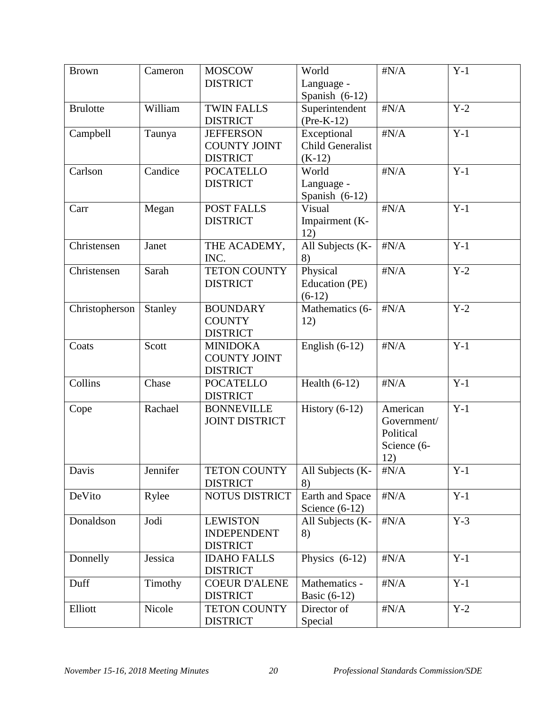| <b>Brown</b>    | Cameron  | <b>MOSCOW</b><br><b>DISTRICT</b>                          | World<br>Language -                     | $\sharp N/A$                                               | $Y-1$ |
|-----------------|----------|-----------------------------------------------------------|-----------------------------------------|------------------------------------------------------------|-------|
|                 |          |                                                           | Spanish $(6-12)$                        |                                                            |       |
| <b>Brulotte</b> | William  | <b>TWIN FALLS</b><br><b>DISTRICT</b>                      | Superintendent<br>$(Pre-K-12)$          | $\sharp N/A$                                               | $Y-2$ |
| Campbell        | Taunya   | <b>JEFFERSON</b><br><b>COUNTY JOINT</b>                   | Exceptional<br><b>Child Generalist</b>  | $\sharp N/A$                                               | $Y-1$ |
|                 |          | <b>DISTRICT</b>                                           | $(K-12)$                                |                                                            |       |
| Carlson         | Candice  | <b>POCATELLO</b><br><b>DISTRICT</b>                       | World<br>Language -<br>Spanish $(6-12)$ | $\sharp N/A$                                               | $Y-1$ |
| Carr            | Megan    | <b>POST FALLS</b><br><b>DISTRICT</b>                      | Visual<br>Impairment (K-<br>12)         | $\sharp N/A$                                               | $Y-1$ |
| Christensen     | Janet    | THE ACADEMY,<br>INC.                                      | All Subjects (K-<br>8)                  | $\sharp N/A$                                               | $Y-1$ |
| Christensen     | Sarah    | <b>TETON COUNTY</b><br><b>DISTRICT</b>                    | Physical<br>Education (PE)<br>$(6-12)$  | $\sharp N/A$                                               | $Y-2$ |
| Christopherson  | Stanley  | <b>BOUNDARY</b><br><b>COUNTY</b><br><b>DISTRICT</b>       | Mathematics (6-<br>12)                  | $\sharp N/A$                                               | $Y-2$ |
| Coats           | Scott    | <b>MINIDOKA</b><br><b>COUNTY JOINT</b><br><b>DISTRICT</b> | English $(6-12)$                        | $\sharp N/A$                                               | $Y-1$ |
| Collins         | Chase    | <b>POCATELLO</b><br><b>DISTRICT</b>                       | Health $(6-12)$                         | $\sharp N/A$                                               | $Y-1$ |
| Cope            | Rachael  | <b>BONNEVILLE</b><br><b>JOINT DISTRICT</b>                | History $(6-12)$                        | American<br>Government/<br>Political<br>Science (6-<br>12) | $Y-1$ |
| Davis           | Jennifer | <b>TETON COUNTY</b><br><b>DISTRICT</b>                    | All Subjects (K-<br>8)                  | $\sharp N/A$                                               | $Y-1$ |
| DeVito          | Rylee    | <b>NOTUS DISTRICT</b>                                     | Earth and Space<br>Science $(6-12)$     | $\sharp N/A$                                               | $Y-1$ |
| Donaldson       | Jodi     | <b>LEWISTON</b><br><b>INDEPENDENT</b><br><b>DISTRICT</b>  | All Subjects (K-<br>8)                  | $\sharp N/A$                                               | $Y-3$ |
| Donnelly        | Jessica  | <b>IDAHO FALLS</b><br><b>DISTRICT</b>                     | Physics $(6-12)$                        | $\sharp N/A$                                               | $Y-1$ |
| Duff            | Timothy  | <b>COEUR D'ALENE</b><br><b>DISTRICT</b>                   | Mathematics -<br>Basic $(6-12)$         | $\sharp N/A$                                               | $Y-1$ |
| Elliott         | Nicole   | <b>TETON COUNTY</b><br><b>DISTRICT</b>                    | Director of<br>Special                  | $\sharp N/A$                                               | $Y-2$ |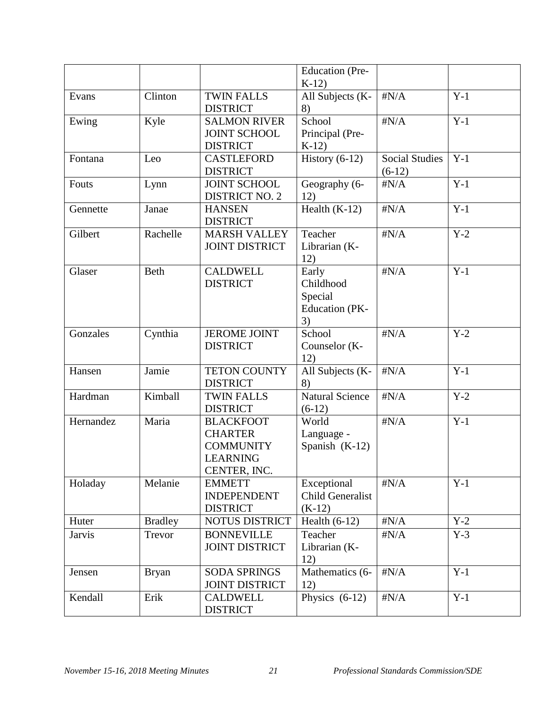|               |                |                                                                                           | <b>Education</b> (Pre-<br>$K-12$                      |                                   |       |
|---------------|----------------|-------------------------------------------------------------------------------------------|-------------------------------------------------------|-----------------------------------|-------|
| Evans         | Clinton        | <b>TWIN FALLS</b>                                                                         | All Subjects (K-                                      | $\sharp N/A$                      | $Y-1$ |
| Ewing         | Kyle           | <b>DISTRICT</b><br><b>SALMON RIVER</b><br><b>JOINT SCHOOL</b><br><b>DISTRICT</b>          | 8)<br>School<br>Principal (Pre-<br>$K-12$             | $\sharp N/A$                      | $Y-1$ |
| Fontana       | Leo            | <b>CASTLEFORD</b><br><b>DISTRICT</b>                                                      | History $(6-12)$                                      | <b>Social Studies</b><br>$(6-12)$ | $Y-1$ |
| Fouts         | Lynn           | <b>JOINT SCHOOL</b><br><b>DISTRICT NO. 2</b>                                              | Geography (6-<br>12)                                  | $\sharp N/A$                      | $Y-1$ |
| Gennette      | Janae          | <b>HANSEN</b><br><b>DISTRICT</b>                                                          | Health $(K-12)$                                       | $\sharp N/A$                      | $Y-1$ |
| Gilbert       | Rachelle       | <b>MARSH VALLEY</b><br><b>JOINT DISTRICT</b>                                              | Teacher<br>Librarian (K-<br>12)                       | $\sharp N/A$                      | $Y-2$ |
| Glaser        | Beth           | <b>CALDWELL</b><br><b>DISTRICT</b>                                                        | Early<br>Childhood<br>Special<br>Education (PK-<br>3) | $\sharp N/A$                      | $Y-1$ |
| Gonzales      | Cynthia        | <b>JEROME JOINT</b><br><b>DISTRICT</b>                                                    | School<br>Counselor (K-<br>12)                        | $\sharp N/A$                      | $Y-2$ |
| Hansen        | Jamie          | <b>TETON COUNTY</b><br><b>DISTRICT</b>                                                    | All Subjects (K-<br>8)                                | $\sharp N/A$                      | $Y-1$ |
| Hardman       | Kimball        | <b>TWIN FALLS</b><br><b>DISTRICT</b>                                                      | <b>Natural Science</b><br>$(6-12)$                    | $\sharp N/A$                      | $Y-2$ |
| Hernandez     | Maria          | <b>BLACKFOOT</b><br><b>CHARTER</b><br><b>COMMUNITY</b><br><b>LEARNING</b><br>CENTER, INC. | World<br>Language -<br>Spanish $(K-12)$               | $\sharp N/A$                      | $Y-1$ |
| Holaday       | Melanie        | <b>EMMETT</b><br><b>INDEPENDENT</b><br><b>DISTRICT</b>                                    | Exceptional<br><b>Child Generalist</b><br>$(K-12)$    | $\#N/A$                           | $Y-1$ |
| Huter         | <b>Bradley</b> | NOTUS DISTRICT                                                                            | Health $(6-12)$                                       | $\#N/A$                           | $Y-2$ |
| <b>Jarvis</b> | Trevor         | <b>BONNEVILLE</b><br><b>JOINT DISTRICT</b>                                                | Teacher<br>Librarian (K-<br>12)                       | $\#N/A$                           | $Y-3$ |
| Jensen        | <b>Bryan</b>   | <b>SODA SPRINGS</b><br><b>JOINT DISTRICT</b>                                              | Mathematics (6-<br>12)                                | $\sharp N/A$                      | $Y-1$ |
| Kendall       | Erik           | <b>CALDWELL</b><br><b>DISTRICT</b>                                                        | Physics $(6-12)$                                      | $\sharp N/A$                      | $Y-1$ |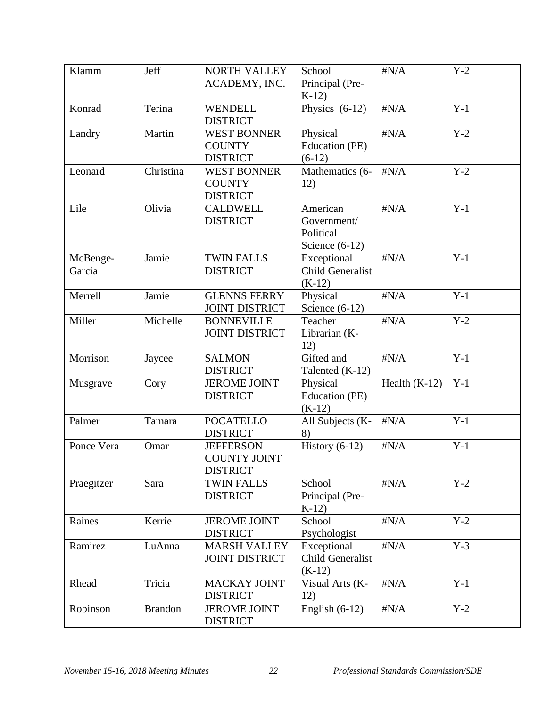| Klamm              | Jeff           | NORTH VALLEY<br>ACADEMY, INC.                              | School<br>Principal (Pre-<br>$K-12$                      | $\sharp N/A$    | $Y-2$ |
|--------------------|----------------|------------------------------------------------------------|----------------------------------------------------------|-----------------|-------|
| Konrad             | Terina         | <b>WENDELL</b><br><b>DISTRICT</b>                          | Physics $(6-12)$                                         | $\sharp N/A$    | $Y-1$ |
| Landry             | Martin         | <b>WEST BONNER</b><br><b>COUNTY</b><br><b>DISTRICT</b>     | Physical<br>Education (PE)<br>$(6-12)$                   | $\sharp N/A$    | $Y-2$ |
| Leonard            | Christina      | <b>WEST BONNER</b><br><b>COUNTY</b><br><b>DISTRICT</b>     | Mathematics (6-<br>12)                                   | $\sharp N/A$    | $Y-2$ |
| Lile               | Olivia         | <b>CALDWELL</b><br><b>DISTRICT</b>                         | American<br>Government/<br>Political<br>Science $(6-12)$ | $\sharp N/A$    | $Y-1$ |
| McBenge-<br>Garcia | Jamie          | <b>TWIN FALLS</b><br><b>DISTRICT</b>                       | Exceptional<br><b>Child Generalist</b><br>$(K-12)$       | $\sharp N/A$    | $Y-1$ |
| Merrell            | Jamie          | <b>GLENNS FERRY</b><br><b>JOINT DISTRICT</b>               | Physical<br>Science $(6-12)$                             | $\sharp N/A$    | $Y-1$ |
| Miller             | Michelle       | <b>BONNEVILLE</b><br><b>JOINT DISTRICT</b>                 | Teacher<br>Librarian (K-<br>12)                          | $\sharp N/A$    | $Y-2$ |
| Morrison           | Jaycee         | <b>SALMON</b><br><b>DISTRICT</b>                           | Gifted and<br>Talented (K-12)                            | $\sharp N/A$    | $Y-1$ |
| Musgrave           | Cory           | <b>JEROME JOINT</b><br><b>DISTRICT</b>                     | Physical<br>Education (PE)<br>$(K-12)$                   | Health $(K-12)$ | $Y-1$ |
| Palmer             | Tamara         | <b>POCATELLO</b><br><b>DISTRICT</b>                        | All Subjects (K-<br>8)                                   | $\sharp N/A$    | $Y-1$ |
| Ponce Vera         | Omar           | <b>JEFFERSON</b><br><b>COUNTY JOINT</b><br><b>DISTRICT</b> | $\overline{\text{History}} (6-12)$                       | $\sharp N/A$    | $Y-1$ |
| Praegitzer         | Sara           | <b>TWIN FALLS</b><br><b>DISTRICT</b>                       | School<br>Principal (Pre-<br>$K-12$                      | $\sharp N/A$    | $Y-2$ |
| Raines             | Kerrie         | <b>JEROME JOINT</b><br><b>DISTRICT</b>                     | School<br>Psychologist                                   | $\sharp N/A$    | $Y-2$ |
| Ramirez            | LuAnna         | <b>MARSH VALLEY</b><br><b>JOINT DISTRICT</b>               | Exceptional<br><b>Child Generalist</b><br>$(K-12)$       | $\sharp N/A$    | $Y-3$ |
| Rhead              | Tricia         | <b>MACKAY JOINT</b><br><b>DISTRICT</b>                     | Visual Arts (K-<br>12)                                   | $\sharp N/A$    | $Y-1$ |
| Robinson           | <b>Brandon</b> | <b>JEROME JOINT</b><br><b>DISTRICT</b>                     | English $(6-12)$                                         | $\sharp N/A$    | $Y-2$ |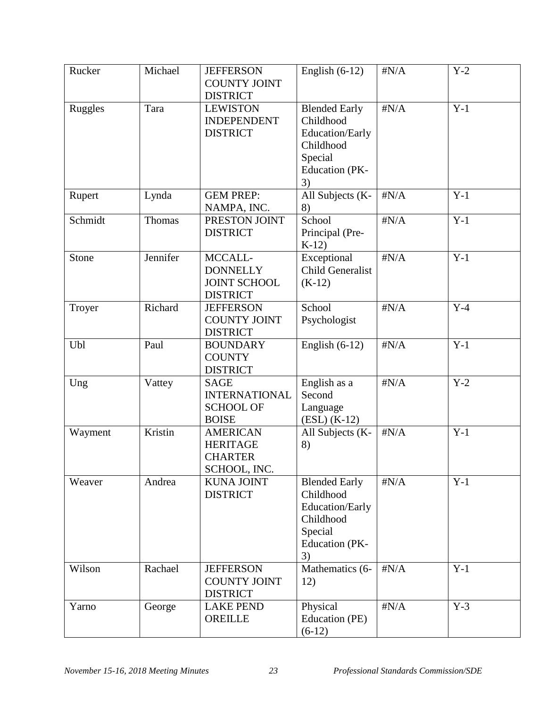| Rucker         | Michael  | <b>JEFFERSON</b><br><b>COUNTY JOINT</b><br><b>DISTRICT</b>              | English $(6-12)$                                                                                            | $\sharp N/A$ | $Y-2$ |
|----------------|----------|-------------------------------------------------------------------------|-------------------------------------------------------------------------------------------------------------|--------------|-------|
| <b>Ruggles</b> | Tara     | <b>LEWISTON</b><br><b>INDEPENDENT</b><br><b>DISTRICT</b>                | <b>Blended Early</b><br>Childhood<br>Education/Early<br>Childhood<br>Special<br><b>Education</b> (PK-<br>3) | $\sharp N/A$ | $Y-1$ |
| Rupert         | Lynda    | <b>GEM PREP:</b><br>NAMPA, INC.                                         | All Subjects (K-<br>8)                                                                                      | $\sharp N/A$ | $Y-1$ |
| Schmidt        | Thomas   | PRESTON JOINT<br><b>DISTRICT</b>                                        | School<br>Principal (Pre-<br>$K-12$                                                                         | $\sharp N/A$ | $Y-1$ |
| Stone          | Jennifer | MCCALL-<br><b>DONNELLY</b><br><b>JOINT SCHOOL</b><br><b>DISTRICT</b>    | Exceptional<br><b>Child Generalist</b><br>$(K-12)$                                                          | $\sharp N/A$ | $Y-1$ |
| Troyer         | Richard  | <b>JEFFERSON</b><br><b>COUNTY JOINT</b><br><b>DISTRICT</b>              | School<br>Psychologist                                                                                      | $\sharp N/A$ | $Y-4$ |
| Ubl            | Paul     | <b>BOUNDARY</b><br><b>COUNTY</b><br><b>DISTRICT</b>                     | English $(6-12)$                                                                                            | $\sharp N/A$ | $Y-1$ |
| Ung            | Vattey   | <b>SAGE</b><br><b>INTERNATIONAL</b><br><b>SCHOOL OF</b><br><b>BOISE</b> | English as a<br>Second<br>Language<br>$(ESL) (K-12)$                                                        | $\sharp N/A$ | $Y-2$ |
| Wayment        | Kristin  | <b>AMERICAN</b><br><b>HERITAGE</b><br><b>CHARTER</b><br>SCHOOL, INC.    | All Subjects (K-<br>8)                                                                                      | $\sharp N/A$ | $Y-1$ |
| Weaver         | Andrea   | <b>KUNA JOINT</b><br><b>DISTRICT</b>                                    | <b>Blended Early</b><br>Childhood<br>Education/Early<br>Childhood<br>Special<br><b>Education</b> (PK-<br>3) | $\sharp N/A$ | $Y-1$ |
| Wilson         | Rachael  | <b>JEFFERSON</b><br><b>COUNTY JOINT</b><br><b>DISTRICT</b>              | Mathematics (6-<br>12)                                                                                      | $\sharp N/A$ | $Y-1$ |
| Yarno          | George   | <b>LAKE PEND</b><br>OREILLE                                             | Physical<br>Education (PE)<br>$(6-12)$                                                                      | $\sharp N/A$ | $Y-3$ |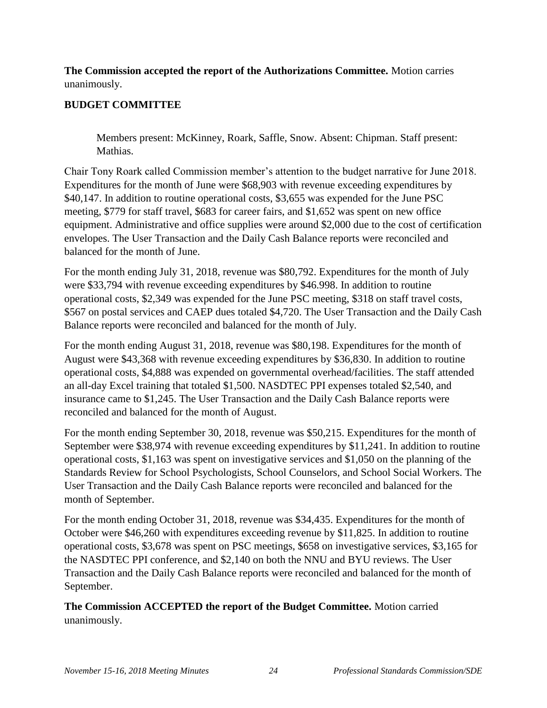**The Commission accepted the report of the Authorizations Committee.** Motion carries unanimously.

## **BUDGET COMMITTEE**

Members present: McKinney, Roark, Saffle, Snow. Absent: Chipman. Staff present: Mathias.

Chair Tony Roark called Commission member's attention to the budget narrative for June 2018. Expenditures for the month of June were \$68,903 with revenue exceeding expenditures by \$40,147. In addition to routine operational costs, \$3,655 was expended for the June PSC meeting, \$779 for staff travel, \$683 for career fairs, and \$1,652 was spent on new office equipment. Administrative and office supplies were around \$2,000 due to the cost of certification envelopes. The User Transaction and the Daily Cash Balance reports were reconciled and balanced for the month of June.

For the month ending July 31, 2018, revenue was \$80,792. Expenditures for the month of July were \$33,794 with revenue exceeding expenditures by \$46.998. In addition to routine operational costs, \$2,349 was expended for the June PSC meeting, \$318 on staff travel costs, \$567 on postal services and CAEP dues totaled \$4,720. The User Transaction and the Daily Cash Balance reports were reconciled and balanced for the month of July.

For the month ending August 31, 2018, revenue was \$80,198. Expenditures for the month of August were \$43,368 with revenue exceeding expenditures by \$36,830. In addition to routine operational costs, \$4,888 was expended on governmental overhead/facilities. The staff attended an all-day Excel training that totaled \$1,500. NASDTEC PPI expenses totaled \$2,540, and insurance came to \$1,245. The User Transaction and the Daily Cash Balance reports were reconciled and balanced for the month of August.

For the month ending September 30, 2018, revenue was \$50,215. Expenditures for the month of September were \$38,974 with revenue exceeding expenditures by \$11,241. In addition to routine operational costs, \$1,163 was spent on investigative services and \$1,050 on the planning of the Standards Review for School Psychologists, School Counselors, and School Social Workers. The User Transaction and the Daily Cash Balance reports were reconciled and balanced for the month of September.

For the month ending October 31, 2018, revenue was \$34,435. Expenditures for the month of October were \$46,260 with expenditures exceeding revenue by \$11,825. In addition to routine operational costs, \$3,678 was spent on PSC meetings, \$658 on investigative services, \$3,165 for the NASDTEC PPI conference, and \$2,140 on both the NNU and BYU reviews. The User Transaction and the Daily Cash Balance reports were reconciled and balanced for the month of September.

**The Commission ACCEPTED the report of the Budget Committee.** Motion carried unanimously.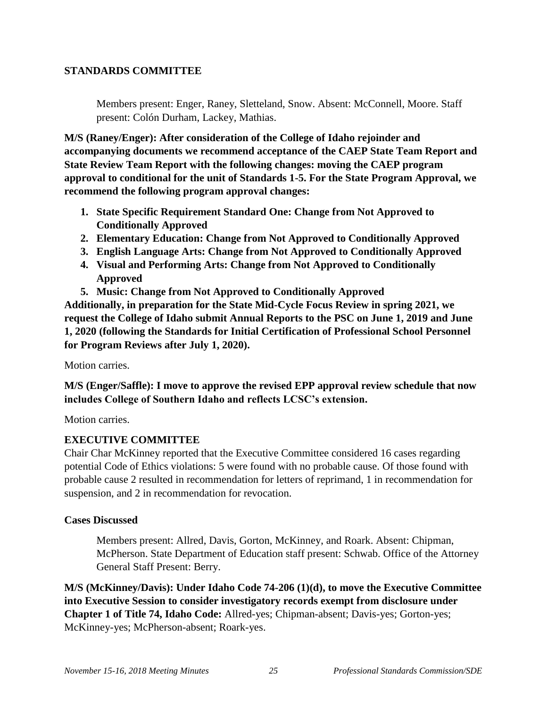### **STANDARDS COMMITTEE**

Members present: Enger, Raney, Sletteland, Snow. Absent: McConnell, Moore. Staff present: Colón Durham, Lackey, Mathias.

**M/S (Raney/Enger): After consideration of the College of Idaho rejoinder and accompanying documents we recommend acceptance of the CAEP State Team Report and State Review Team Report with the following changes: moving the CAEP program approval to conditional for the unit of Standards 1-5. For the State Program Approval, we recommend the following program approval changes:** 

- **1. State Specific Requirement Standard One: Change from Not Approved to Conditionally Approved**
- **2. Elementary Education: Change from Not Approved to Conditionally Approved**
- **3. English Language Arts: Change from Not Approved to Conditionally Approved**
- **4. Visual and Performing Arts: Change from Not Approved to Conditionally Approved**
- **5. Music: Change from Not Approved to Conditionally Approved**

**Additionally, in preparation for the State Mid-Cycle Focus Review in spring 2021, we request the College of Idaho submit Annual Reports to the PSC on June 1, 2019 and June 1, 2020 (following the Standards for Initial Certification of Professional School Personnel for Program Reviews after July 1, 2020).**

Motion carries.

**M/S (Enger/Saffle): I move to approve the revised EPP approval review schedule that now includes College of Southern Idaho and reflects LCSC's extension.** 

Motion carries.

### **EXECUTIVE COMMITTEE**

Chair Char McKinney reported that the Executive Committee considered 16 cases regarding potential Code of Ethics violations: 5 were found with no probable cause. Of those found with probable cause 2 resulted in recommendation for letters of reprimand, 1 in recommendation for suspension, and 2 in recommendation for revocation.

### **Cases Discussed**

Members present: Allred, Davis, Gorton, McKinney, and Roark. Absent: Chipman, McPherson. State Department of Education staff present: Schwab. Office of the Attorney General Staff Present: Berry.

**M/S (McKinney/Davis): Under Idaho Code 74-206 (1)(d), to move the Executive Committee into Executive Session to consider investigatory records exempt from disclosure under Chapter 1 of Title 74, Idaho Code:** Allred-yes; Chipman-absent; Davis-yes; Gorton-yes; McKinney-yes; McPherson-absent; Roark-yes.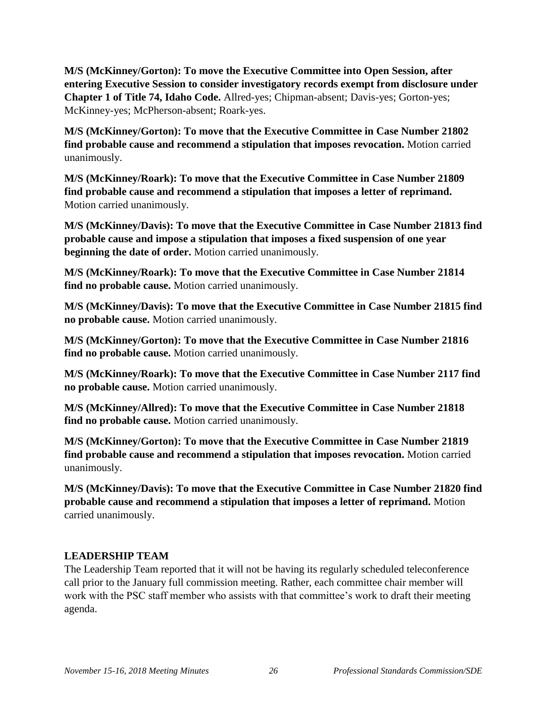**M/S (McKinney/Gorton): To move the Executive Committee into Open Session, after entering Executive Session to consider investigatory records exempt from disclosure under Chapter 1 of Title 74, Idaho Code.** Allred-yes; Chipman-absent; Davis-yes; Gorton-yes; McKinney-yes; McPherson-absent; Roark-yes.

**M/S (McKinney/Gorton): To move that the Executive Committee in Case Number 21802 find probable cause and recommend a stipulation that imposes revocation.** Motion carried unanimously.

**M/S (McKinney/Roark): To move that the Executive Committee in Case Number 21809 find probable cause and recommend a stipulation that imposes a letter of reprimand.**  Motion carried unanimously.

**M/S (McKinney/Davis): To move that the Executive Committee in Case Number 21813 find probable cause and impose a stipulation that imposes a fixed suspension of one year beginning the date of order.** Motion carried unanimously.

**M/S (McKinney/Roark): To move that the Executive Committee in Case Number 21814 find no probable cause.** Motion carried unanimously.

**M/S (McKinney/Davis): To move that the Executive Committee in Case Number 21815 find no probable cause.** Motion carried unanimously.

**M/S (McKinney/Gorton): To move that the Executive Committee in Case Number 21816 find no probable cause.** Motion carried unanimously.

**M/S (McKinney/Roark): To move that the Executive Committee in Case Number 2117 find no probable cause.** Motion carried unanimously.

**M/S (McKinney/Allred): To move that the Executive Committee in Case Number 21818 find no probable cause.** Motion carried unanimously.

**M/S (McKinney/Gorton): To move that the Executive Committee in Case Number 21819 find probable cause and recommend a stipulation that imposes revocation.** Motion carried unanimously.

**M/S (McKinney/Davis): To move that the Executive Committee in Case Number 21820 find probable cause and recommend a stipulation that imposes a letter of reprimand.** Motion carried unanimously.

# **LEADERSHIP TEAM**

The Leadership Team reported that it will not be having its regularly scheduled teleconference call prior to the January full commission meeting. Rather, each committee chair member will work with the PSC staff member who assists with that committee's work to draft their meeting agenda.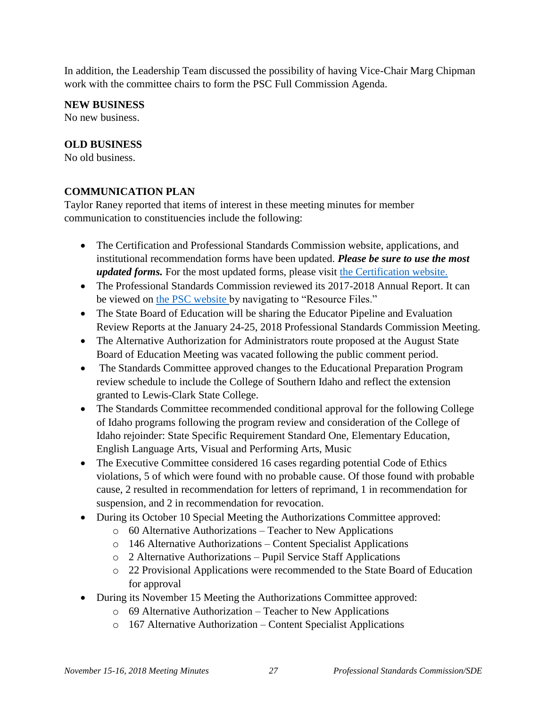In addition, the Leadership Team discussed the possibility of having Vice-Chair Marg Chipman work with the committee chairs to form the PSC Full Commission Agenda.

### **NEW BUSINESS**

No new business.

### **OLD BUSINESS**

No old business.

### **COMMUNICATION PLAN**

Taylor Raney reported that items of interest in these meeting minutes for member communication to constituencies include the following:

- The Certification and Professional Standards Commission website, applications, and institutional recommendation forms have been updated. *Please be sure to use the most updated forms.* For the most updated forms, please visit [the Certification website.](http://www.sde.idaho.gov/cert-psc/cert/)
- The Professional Standards Commission reviewed its 2017-2018 Annual Report. It can be viewed on [the PSC website b](http://www.sde.idaho.gov/cert-psc/psc/)y navigating to "Resource Files."
- The State Board of Education will be sharing the Educator Pipeline and Evaluation Review Reports at the January 24-25, 2018 Professional Standards Commission Meeting.
- The Alternative Authorization for Administrators route proposed at the August State Board of Education Meeting was vacated following the public comment period.
- The Standards Committee approved changes to the Educational Preparation Program review schedule to include the College of Southern Idaho and reflect the extension granted to Lewis-Clark State College.
- The Standards Committee recommended conditional approval for the following College of Idaho programs following the program review and consideration of the College of Idaho rejoinder: State Specific Requirement Standard One, Elementary Education, English Language Arts, Visual and Performing Arts, Music
- The Executive Committee considered 16 cases regarding potential Code of Ethics violations, 5 of which were found with no probable cause. Of those found with probable cause, 2 resulted in recommendation for letters of reprimand, 1 in recommendation for suspension, and 2 in recommendation for revocation.
- During its October 10 Special Meeting the Authorizations Committee approved:
	- o 60 Alternative Authorizations Teacher to New Applications
	- o 146 Alternative Authorizations Content Specialist Applications
	- o 2 Alternative Authorizations Pupil Service Staff Applications
	- o 22 Provisional Applications were recommended to the State Board of Education for approval
- During its November 15 Meeting the Authorizations Committee approved:
	- o 69 Alternative Authorization Teacher to New Applications
	- o 167 Alternative Authorization Content Specialist Applications